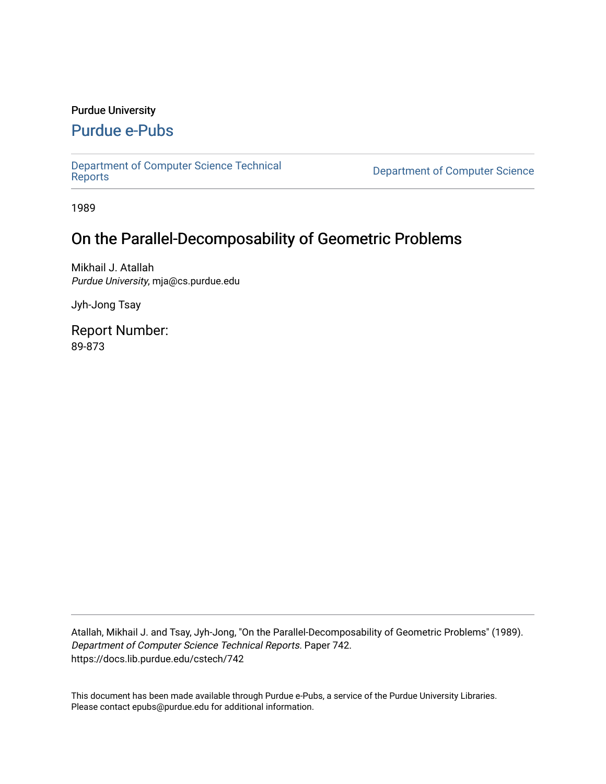# Purdue University

# [Purdue e-Pubs](https://docs.lib.purdue.edu/)

[Department of Computer Science Technical](https://docs.lib.purdue.edu/cstech) 

**Department of Computer Science** 

1989

# On the Parallel-Decomposability of Geometric Problems

Mikhail J. Atallah Purdue University, mja@cs.purdue.edu

Jyh-Jong Tsay

Report Number: 89-873

Atallah, Mikhail J. and Tsay, Jyh-Jong, "On the Parallel-Decomposability of Geometric Problems" (1989). Department of Computer Science Technical Reports. Paper 742. https://docs.lib.purdue.edu/cstech/742

This document has been made available through Purdue e-Pubs, a service of the Purdue University Libraries. Please contact epubs@purdue.edu for additional information.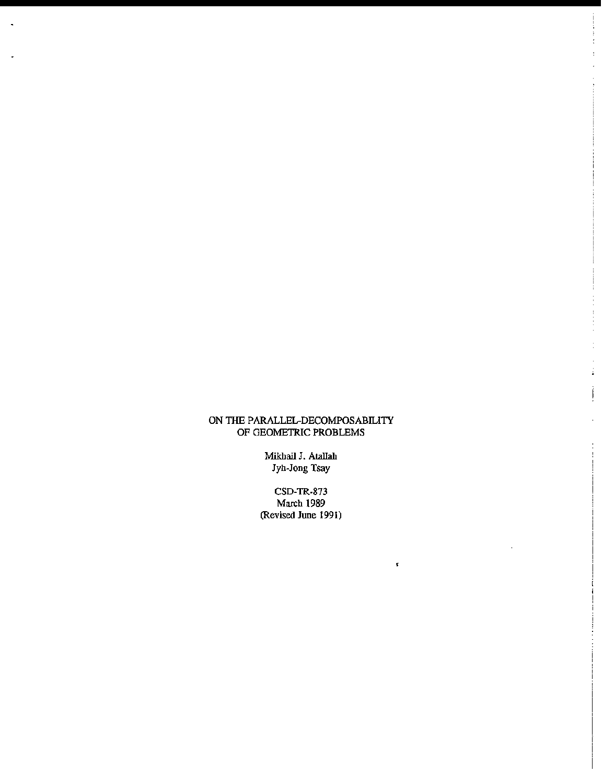### ON TIlE PARALLEL-DECOMPOSABILITY OF GEOMETRIC PROBLEMS

**Mikhail J. AtalIah Jyh-Jong Tsay**

CSD-TR-873 March 1989 **(Revised JUDe 1991)**

•

 $\mathcal{L}$ 

İ,

ļ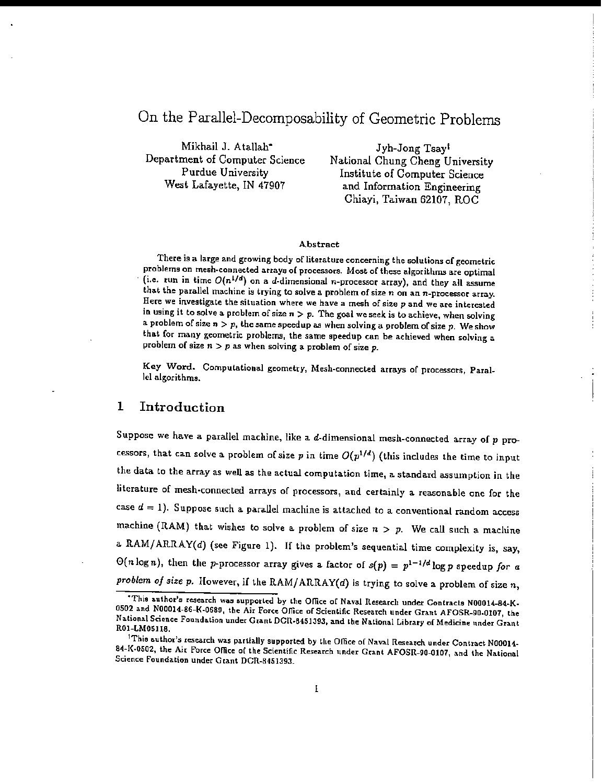# On the Parallel-Decomposability of Geometric Problems

Mikhail J. Atallah<sup>\*</sup> Department of Computer Science Purdue University West Lafayette, IN 47907

Jyh-Jong Tsayt National Chung Cheng University Institute of Computer Science and Information Engineering Chiayi, Taiwan 62107, ROC

#### Abstract

There is a large and growing body of literature concerning the solutions of geometric problems on mesh-connected arrays of processors. Most of these algorithms are optimal (i.e. run in time  $O(n^{1/d})$  on a d-dimensional n-processor array), and they all assume that the parallel machine is trying to solve a problem of size  $n$  on an  $n$ -processor array. Here we investigate the situation where we have a mesh of size  $p$  and we are interested in using it to solve a problem of size  $n > p$ . The goal we seek is to achieve, when solving a problem of size  $n > p$ , the same speedup as when solving a problem of size p. We show that for many geometric problems, the same speedup can be achieved when solving a problem of size  $n > p$  as when solving a problem of size  $p$ .

Key Word. Computational geometry, Mesh-connected arrays of processors, Parallel algorithms.

# 1 Introduction

Suppose we have a parallel machine, like a  $d$ -dimensional mesh-connected array of  $p$  processors, that can solve a problem of size p in time  $O(p^{1/d})$  (this includes the time to input the data to the array as well as the actual computation time, a standard assumption in the literature of mesh-connected arrays of processors, and certainly a reasonable one for the case  $d = 1$ ). Suppose such a parallel machine is attached to a conventional random access machine (RAM) that wishes to solve a problem of size  $n > p$ . We call such a machine a RAM/ARRAY( $d$ ) (see Figure 1). If the problem's sequential time complexity is, say,  $\Theta(n \log n)$ , then the p-processor array gives a factor of  $s(p) = p^{1-1/d} \log p$  speedup for a problem of size p. However, if the RAM/ARRAY(d) is trying to solve a problem of size  $n$ ,

<sup>&</sup>quot;This author's research was supported by the Office of Naval Research under Contracts N00014-84-K-0502 and N00014-86-K-0689, the Air Force Office of Scientific Research under Grant AFOSR-90-0107, the National Science Foundation under Grant DCR-8451393, and the National Library of Medicine under Grant R01-LM05118.

<sup>&</sup>lt;sup>1</sup>This author's research was partially supported by the Office of Naval Research under Contract N00014-84-K-0502, the Air Force Office of the Scientific Research under Grant AFOSR-90-0107, and the National Science Foundation under Grant DCR-8451393.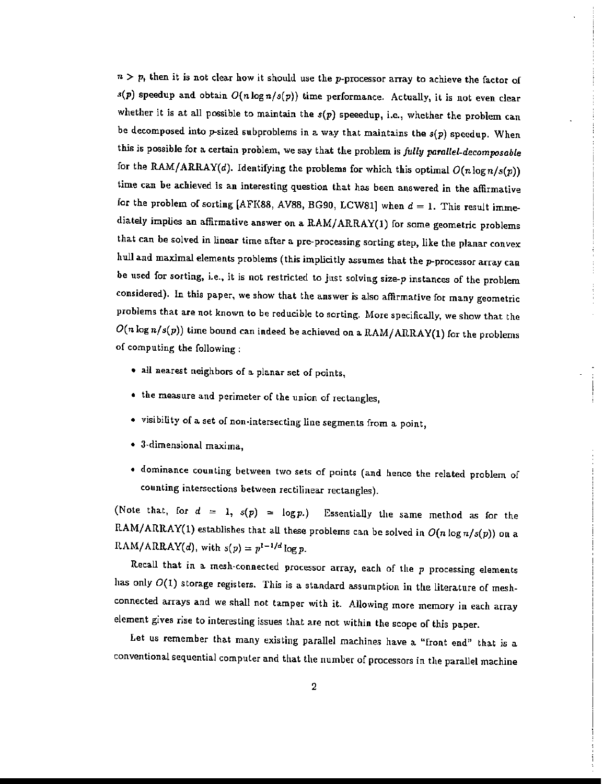$n > p$ , then it is not clear how it should use the p-processor array to achieve the factor of  $s(p)$  speedup and obtain  $O(n \log n / s(p))$  time performance. Actually, it is not even clear whether it is at all possible to maintain the  $s(p)$  speeedup, i.e., whether the problem can be decomposed into p-sized subproblems in a way that maintains the  $s(p)$  speedup. When this is possible for a certain problem, we say that the problem is *fully pamllel-decomposable* for the RAM/ARRAY(d). Identifying the problems for which this optimal  $O(n\log n/s(p))$ time can be achieved is an interesting question that has been answered in the affirmative for the problem of sorting [AFK88, AV88, BG90, LCW81] when  $d = 1$ . This result immediately implies an affirmative answer on a RAMjARRAY(l) for some geometric problems that can be solved in linear time after a pre-processing sorting step, like the planar convex hull and maximal elements problems (this implicitly assumes that the p-processor array can be used for sorting, i.e., it is not restricted to just solving size- $p$  instances of the problem considered). In this paper, we show that the answer is also affirmative for many geometric problems that are not known to be reducible to sorting. More specifically, we show that the  $O(n \log n / s(p))$  time bound can indeed be achieved on a RAM/ARRAY(1) for the problems of computing the following:

- all nearest neighbors of a planar set of points,
- the measure and perimeter of the union of rectangles,
- visibility of a set of non·intersecting line segments from a point,
- J·dimensional maxima,
- dominance counting between two sets of points (and hence the related problem of counting intersections between rectilinear rectangles).

(Note that, for  $d = 1$ ,  $s(p) = \log p$ .) Essentially the same method as for the RAM/ARRAY(1) establishes that all these problems can be solved in  $O(n \log n/s(p))$  on a RAM/ARRAY(d), with  $s(p) = p^{1-1/d} \log p$ .

Recall that in a mesh-connected processor array, each of the  $p$  processing elements has only  $O(1)$  storage registers. This is a standard assumption in the literature of meshconnected arrays and we shall not tamper with it. Allowing more memory in each array element gives rise to interesting issues that are not within the scope of this paper.

Let us remember that many existing parallel machines have a "front end" that is a conventional sequential computer and that the number of processors in the parallel machine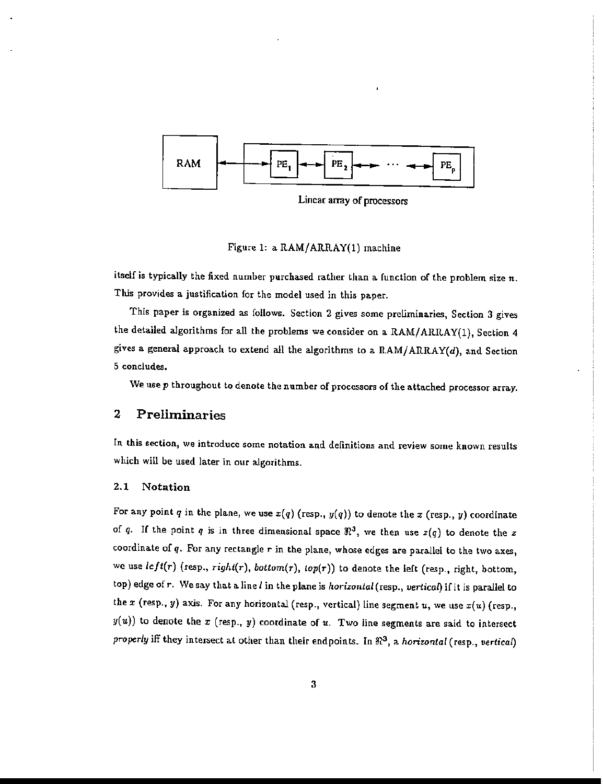

Linear array of processors

Figure 1: a RAM/ARRAY(l) machine

itself is typically the fixed number purchased rather than a. function of the problem size *n.* This provides a justification for the model used in this paper.

This paper is organized as follows. Section 2 gives some preliminaries, Section 3 gives the detailed algorithms for all the problems we consider on a RAM/ARRAY(1), Section 4 gives a general approach to extend all the algorithms to a RAM/ARRAY(d), and Section 5 concludes.

We use p throughout to denote the number of processors of the attached processor array.

# **2 Preliminaries**

In this section, we introduce some notation and definitions and review some known results which will be used later in our algorithms.

#### 2.1 Notation

For any point *q* in the plane, we use  $x(q)$  (resp.,  $y(q)$ ) to denote the  $x$  (resp.,  $y$ ) coordinate of q. If the point q is in three dimensional space  $\Re^3$ , we then use  $z(q)$  to denote the z coordinate of  $q$ . For any rectangle  $r$  in the plane, whose edges are parallel to the two axes, we use  $left(r)$  (resp.,  $right(r)$ ,  $bottom(r)$ ,  $top(r)$ ) to denote the left (resp., right, bottom, top) edge of r. We say that a line *l* in the plane is *horizontal* (resp., *vertical*) if it is parallel to the  $x$  (resp.,  $y$ ) axis. For any horizontal (resp., vertical) line segment  $u$ , we use  $x(u)$  (resp.,  $y(u)$ ) to denote the x (resp., y) coordinate of u. Two line segments are said to intersect *properly* iff they intersect at other than their endpoints. In  $\Re^3$ , a *horizontal* (resp., *vertical*)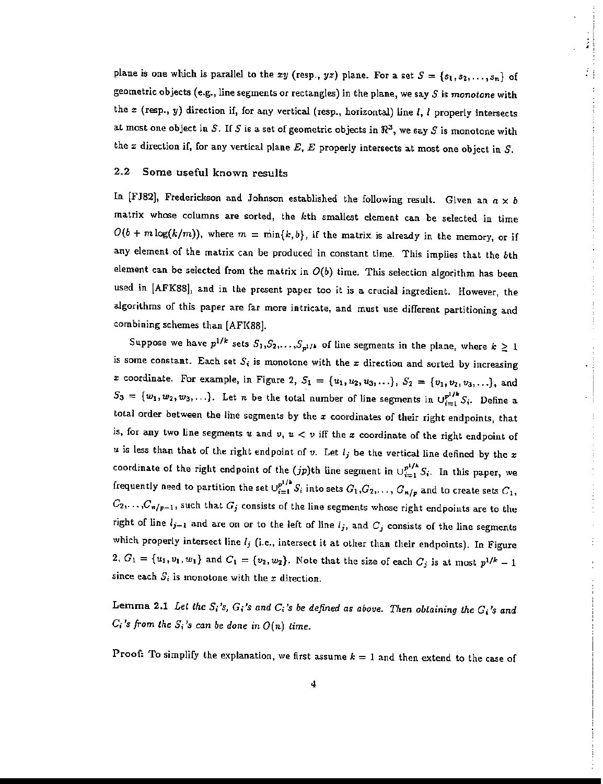plane is one which is parallel to the  $xy$  (resp.,  $yz$ ) plane. For a set  $S = \{s_1, s_2, \ldots, s_n\}$  of geometric objects (e.g., line segments or rectangles) in the plane, we say 5 is *monotone* with the  $x$  (resp., y) direction if, for any vertical (resp., horizontal) line  $I$ ,  $I$  properly intersects at most one object in S. If S is a set of geometric objects in  $\Re^3$ , we say S is monotone with the  $x$  direction if, for any vertical plane  $E, E$  properly intersects at most one object in  $S$ .

#### 2.2 Some useful known results

In [FJ82], Frederickson and Johnson established the following result. Given an  $a \times b$ matrix whose columns are sorted, the kth smallest element can be selected in time  $O(b + m \log(k/m))$ , where  $m = \min\{k, b\}$ , if the matrix is already in the memory, or if any element of the matrix can be produced in constant time. This implies that the bth element can be selected from the matrix in  $O(b)$  time. This selection algorithm has been used in [AFK88], and in the present paper too it is a crucial ingredient. However, the algorithms of this paper are far more intricate, and must use different partitioning and combining schemes than [AFK88].

Suppose we have  $p^{1/k}$  sets  $S_1, S_2, \ldots, S_{p^{1/k}}$  of line segments in the plane, where  $k: \geq 1$ is some constant. Each set  $S_i$  is monotone with the  $x$  direction and sorted by increasing x coordinate. For example, in Figure 2,  $S_1 = \{u_1, u_2, u_3, ...\}$ ,  $S_2 = \{v_1, v_2, v_3, ...\}$ , and  $S_3 = \{w_1, w_2, w_3, \ldots\}$ . Let *n* be the total number of line segments in  $\bigcup_{i=1}^{p^{1/k}} S_i$ . Define a total order between the line segments by the  $x$  coordinates of their right endpoints, that is, for any two line segments  $u$  and  $v, u < v$  iff the  $x$  coordinate of the right endpoint of  $u$  is less than that of the right endpoint of  $v$ . Let  $l_j$  be the vertical line defined by the x coordinate of the right endpoint of the  $(jp)$ th line segment in  $\cup_{i=1}^{p^{1/k}} S_i$ . In this paper, we frequently need to partition the set  $\cup_{i=1}^{p+r}S_i$  into sets  $G_1, G_2, \ldots,$   $G_{n/p}$  and to create sets  $C_1,$  $C_2, \ldots, C_{n/p-1}$ , such that  $G_j$  consists of the line segments whose right endpoints are to the right of line  $l_{j-1}$  and are on or to the left of line  $l_j$ , and  $C_j$  consists of the line segments which properly intersect line  $l_j$  (i.e., intersect it at other than their endpoints). In Figure 2,  $G_1 = {u_1, v_1, w_1}$  and  $G_1 = {v_2, w_2}$ . Note that the size of each  $C_j$  is at most  $p^{1/k} - 1$ since each  $S_i$  is monotone with the *x* direction.

Lemma 2.1 *Let the* 5j's, *G;'s and C;'s be defined as above. Then obtaining the G;'s and*  $C_i$ 's from the  $S_i$ 's can be done in  $O(n)$  time.

**Proof:** To simplify the explanation, we first assume  $k = 1$  and then extend to the case of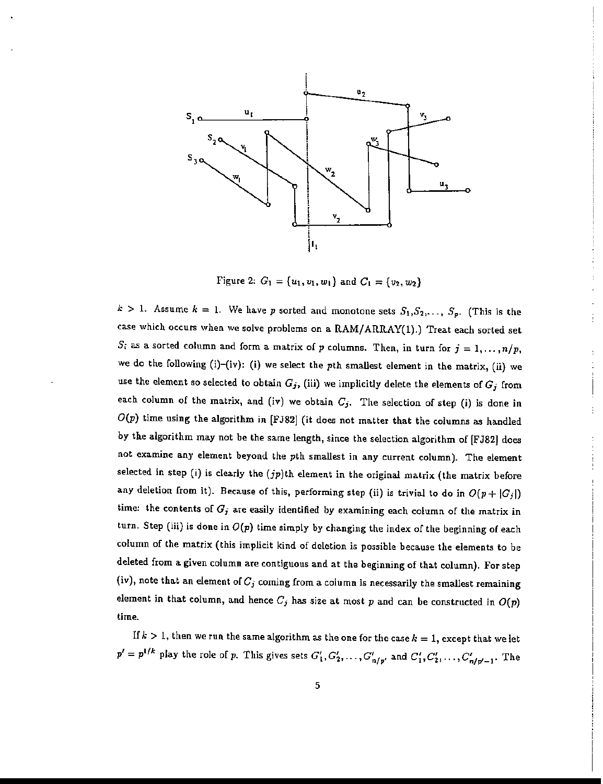

Figure 2:  $G_1 = \{u_1, v_1, w_1\}$  and  $C_1 = \{v_2, w_2\}$ 

 $k > 1$ . Assume  $k = 1$ . We have p sorted and monotone sets  $S_1, S_2, \ldots, S_p$ . (This is the case which occurs when we solve problems on a RAM/ARRAY(1).) Treat each sorted set  $S_i$  as a sorted column and form a matrix of *p* columns. Then, in turn for  $j = 1, ..., n/p$ , we do the following (i)-{iv): (i) we select the pth smallest element in the matrix, (ii) we use the element so selected to obtain  $G_j$ , (iii) we implicitly delete the elements of  $G_j$  from each column of the matrix, and (iv) we obtain  $C_j$ . The selection of step (i) is done in *O(p)* time using the algorithm in [FJ82] (it does not matter that the columns as handled by the algorithm may not be the same length, since the selection algorithm of [FJ82) does not examine any element beyond the pth smallest in any current column). The element selected in step (i) is clearly the  $(jp)$ th element in the original matrix (the matrix before any deletion from it). Because of this, performing step (ii) is trivial to do in  $O(p + |G_j|)$ time: the contents of *Gj* are easily identified by examining each column of the matrix in turn. Step (iii) is done in  $O(p)$  time simply by changing the index of the beginning of each column of the matrix (this implicit kind of deletion is possible because the elements to be deleted from a given column are contiguous and at the beginning of that column). For step (iv), note that an element of  $C_j$  coming from a column is necessarily the smallest remaining element in that column, and hence  $C_j$  has size at most p and can be constructed in  $O(p)$ time.

If  $k > 1$ , then we run the same algorithm as the one for the case  $k = 1$ , except that we let  $p' = p^{1/k}$  play the role of *p*. This gives sets  $G'_1, G'_2, \ldots, G'_{n/w'}$  and  $C'_1, C'_2, \ldots, C'_{n/w'-1}$ . The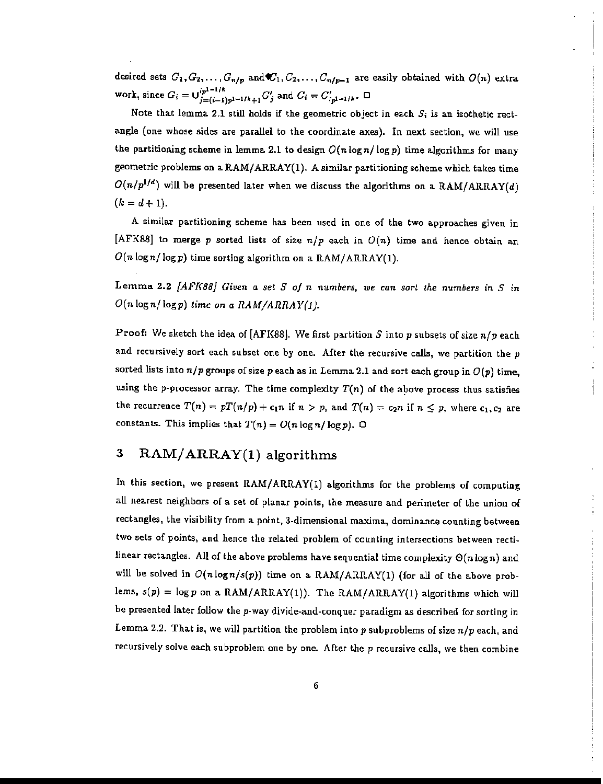desired sets  $G_1, G_2, \ldots, G_{n/p}$  and  $C_1, C_2, \ldots, C_{n/p-1}$  are easily obtained with  $O(n)$  extra work, since  $G_i = \bigcup_{j=(i-1)p^{1-1/k}+1}^{(p^{1-1/k}} G'_j$  and  $C_i = C'_{(p^{1-1/k})}$ .  $\Box$ 

Note that lemma 2.1 still holds if the geometric object in each  $S_i$  is an isothetic rectangle (one whose sides are parallel to the coordinate axes). In next section, we will use the partitioning scheme in lemma 2.1 to design  $O(n \log n / \log p)$  time algorithms for many geometric problems on a RAM/ARRAY(1). A similar partitioning scheme which takes time  $O(n/p^{1/d})$  will be presented later when we discuss the algorithms on a RAM/ARRAY(d)  $(k = d + 1).$ 

A similar partitioning scheme has been used in one of the two approaches given in [AFK88] to merge p sorted lists of size  $n/p$  each in  $O(n)$  time and hence obtain an *O(n lognj* logp) time sorting algorithm on a RAM/ARRAY(l).

Lemma 2.2 *[AFK88] Given* a *set S* of *n numbers*, we can sort the *numbers* in *S* in  $O(n \log n / \log p)$  *time on a RAM/ARRAY(1).* 

Proof: We sketch the idea of [AFK88\. We first partition S into *p* subsets of size *nip* each and recursively sort each subset one by one. After the recursive calls, we partition the  $p$ sorted lists into  $n/p$  groups of size  $p$  each as in Lemma 2.1 and sort each group in  $O(p)$  time, using the p-processor array. The time complexity  $T(n)$  of the above process thus satisfies the recurrence  $T(n) = pT(n/p) + c_1 n$  if  $n > p$ , and  $T(n) = c_2 n$  if  $n \leq p$ , where  $c_1, c_2$  are constants. This implies that  $T(n) = O(n \log n / \log p)$ .  $\Box$ 

# 3 RAM/ARRAY(l) algorithms

In this section, we present RAM/ARRAY(1) algorithms for the problems of computing all nearest neighbors of a set of planar points, the measure and perimeter of the union of rectangles, the visibility from a point, 3-dimensional maxima, dominance counting between two sets of points, and hence the related problem of counting intersections between rectilinear rectangles. All of the above problems have sequential time complexity *0(n* logn) and will be solved in  $O(n \log n/s(p))$  time on a RAM/ARRAY(1) (for all of the above problems,  $s(p) = \log p$  on a RAM/ARRAY(1)). The RAM/ARRAY(1) algorithms which will be presented later follow the p-way divide-and-conquer paradigm as described for sorting in Lemma 2.2. That is, we will partition the problem into  $p$  subproblems of size  $n/p$  each, and recursively solve each subproblem one by one. After the  $p$  recursive calls, we then combine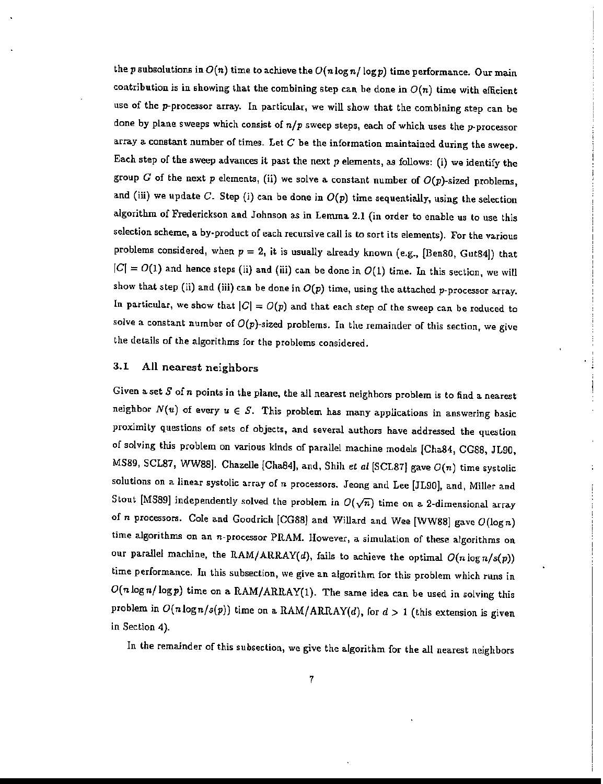the p subsolutions in  $O(n)$  time to achieve the  $O(n\log n/\log p)$  time performance. Our main contribution is in showing that the combining step can be done in  $O(n)$  time with efficient use of the p-processor array. In particular, we will show that the combining step can be done by plane sweeps which consist of *nip* sweep steps, each of which uses the p-processor array a constant number of times. Let  $C$  be the information maintained during the sweep. Each step of the sweep advances it past the next  $p$  elements, as follows: (i) we identify the group G of the next p elements, (ii) we solve a constant number of  $O(p)$ -sized problems, and (iii) we update  $C$ . Step (i) can be done in  $O(p)$  time sequentially, using the selection algorithm of Frederickson and Johnson as in Lemma 2.1 (in order to enable us to use this selection scheme, a by-product of each recursive call is to sort its elements). For the various problems considered, when  $p = 2$ , it is usually already known (e.g., [Ben80, Gut84]) that  $|C| = O(1)$  and hence steps (ii) and (iii) can be done in  $O(1)$  time. In this section, we will show that step (ii) and (iii) can be done in  $O(p)$  time, using the attached p-processor array. In particular, we show that  $|C| = O(p)$  and that each step of the sweep can be reduced to solve a constant number of *O(p)-sized* problems. In the remainder of this section, we give the details of the algorithms for the problems considered.

# 3.1 All nearest neighbors

Given a set  $S$  of  $n$  points in the plane, the all nearest neighbors problem is to find a nearest neighbor  $N(u)$  of every  $u \in S$ . This problem has many applications in answering basic proximity questions of sets of objects, and several authors have addressed the question of solving this problem on various kinds of parallel machine models [Cha84, CG8S, JL90, MS89, SCL87, WW88]. Chazelle {Cha84], and, Shih *et al* [SCL871 gave *O(n)* time systolic solutions on a linear systolic array of *n* processors. Jeong and Lee [JL90j, and, Miller and Stout [MS89] independently solved the problem in  $O(\sqrt{n})$  time on a 2-dimensional array of *n* processors. Cole and Goodrich [CG8S) and Willard and Wee [WW88j gave *O(logn)* time algorithms on an n-processor PRAM. However, a simulation of these algorithms on our parallel machine, the RAM/ARRAY(d), fails to achieve the optimal  $O(n \log n/s(p))$ time performance. In this subsection, we give an algorithm for this problem which runs in  $O(n \log n / \log p)$  time on a RAM/ARRAY(1). The same idea can be used in solving this problem in  $O(n \log n/s(p))$  time on a RAM/ARRAY(d), for  $d > 1$  (this extension is given in Section 4).

In the remainder of this subsection, we give the algorithm for the all nearest neighbors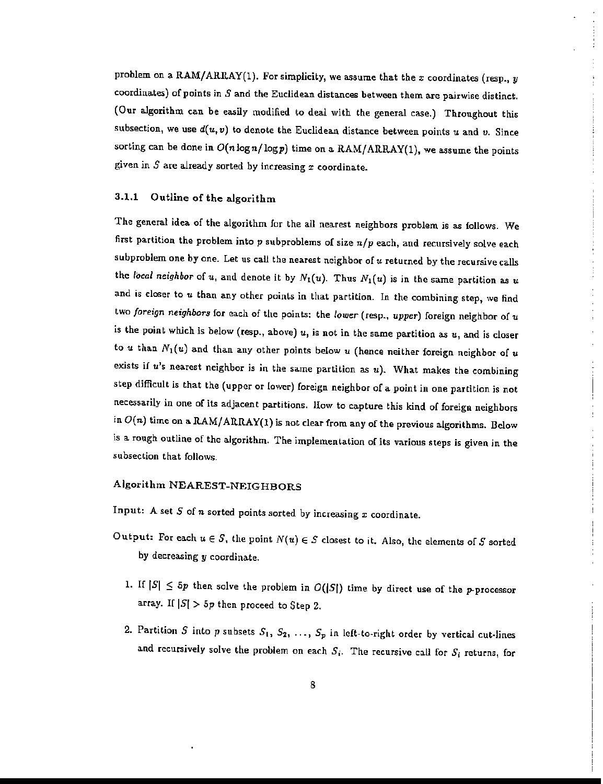problem on a RAM/ARRAY(1). For simplicity, we assume that the  $x$  coordinates (resp., *y* coordinates) of points in  $S$  and the Euclidean distances between them are pairwise distinct. (Our algorithm can be easily modified to deal with the general case.) Throughout this subsection, we use *d(u,v)* to denote the Euclidean distance between points *u* and *v.* Since sorting can be done in  $O(n\log n/\log p)$  time on a RAM/ARRAY(1), we assume the points given in  $S$  are already sorted by increasing  $x$  coordinate.

#### 3.1.1 Outline of the algorithm

The general idea of the algorithm for the all nearest neighbors problem is as follows. We first partition the problem into  $p$  subproblems of size  $n/p$  each, and recursively solve each subproblem one by one. Let us call the nearest neighbor of *u* returned by the recursive calls the *local neighbor* of u, and denote it by  $N_1(u)$ . Thus  $N_1(u)$  is in the same partition as u and is closer to *u* than any other points in that partition. In the combining step, we find two *foreign neighbors* for each of the points: the *lower* (resp., *upper)* foreign neighbor of *u* is the point which is below (resp., above) *u,* is not in the same partition as *u,* and is closer to u than  $N_1(u)$  and than any other points below u (hence neither foreign neighbor of u exists if *u's* nearest neighbor is in the same partition as *u).* What makes the combining step difficult is that the (upper or lower) foreign neighbor of a point in one partition is not necessarily in one of its adjacent partitions. IIow to capture this kind of foreign neighbors in  $O(n)$  time on a RAM/ARRAY(1) is not clear from any of the previous algorithms. Below is a rough outline of the algorithm. The implementation of its various steps is given in the subsection that follows.

# Algorithm NEAREST-NEIGHBORS

Input: A set  $S$  of  $n$  sorted points sorted by increasing  $x$  coordinate.

- Output: For each  $u \in S$ , the point  $N(u) \in S$  closest to it. Also, the elements of S sorted by decreasing *y* coordinate.
	- 1. If  $|S| \le 5p$  then solve the problem in  $O(|S|)$  time by direct use of the *p*-processor array. If  $|S| > 5p$  then proceed to Step 2.
	- 2. Partition S into p subsets  $S_1, S_2, \ldots, S_p$  in left-to-right order by vertical cut-lines and recursively solve the problem on each  $S_i$ . The recursive call for  $S_i$  returns, for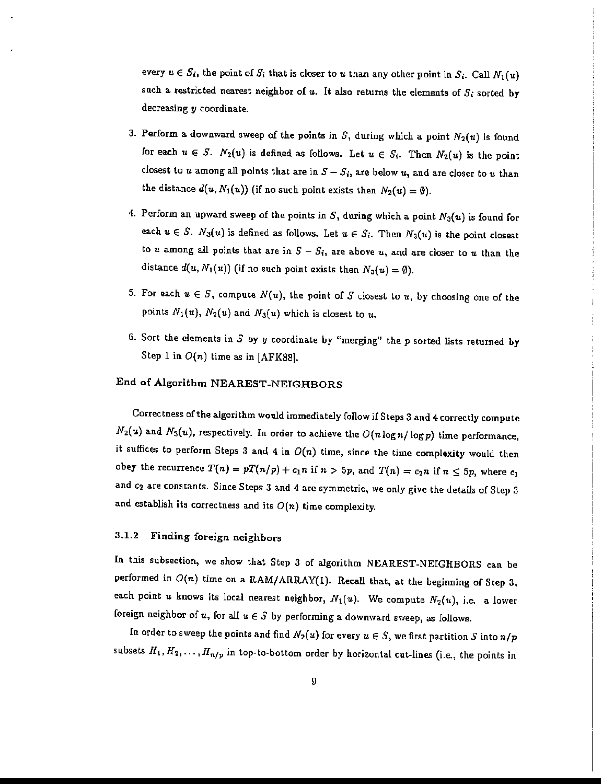every  $u \in S_i$ , the point of  $S_i$  that is closer to u than any other point in  $S_i$ . Call  $N_1(u)$ such a restricted nearest neighbor of  $u$ . It also returns the elements of  $S_i$  sorted by decreasing y coordinate.

- 3. Perform a downward sweep of the points in  $S$ , during which a point  $N_2(u)$  is found for each  $u \in S$ .  $N_2(u)$  is defined as follows. Let  $u \in S_i$ . Then  $N_2(u)$  is the point closest to *u* among all points that are in  $S - S_i$ , are below *u*, and are closer to *u* than the distance  $d(u, N_1(u))$  (if no such point exists then  $N_2(u) = \emptyset$ ).
- 4. Perform an upward sweep of the points in S, during which a point  $N_3(u)$  is found for each  $u \in S$ .  $N_3(u)$  is defined as follows. Let  $u \in S_i$ . Then  $N_3(u)$  is the point closest to u among all points that are in  $S - S_i$ , are above *u*, and are closer to *u* than the distance  $d(u, N_1(u))$  (if no such point exists then  $N_3(u) = \emptyset$ ).
- 5. For each  $u \in S$ , compute  $N(u)$ , the point of S closest to  $u$ , by choosing one of the points  $N_1(u)$ ,  $N_2(u)$  and  $N_3(u)$  which is closest to u.
- 6. Sort the elements in S by *y* coordinate by "merging" the p sorted lists returned by Step 1 in  $O(n)$  time as in [AFK88].

# End of Algorithm NEAREST-NEIGHBORS

Correctness of the algorithm would immediately follow if Steps 3 and 4 correctly compute  $N_2(u)$  and  $N_3(u)$ , respectively. In order to achieve the  $O(n\log n/\log p)$  time performance, it suffices to perform Steps 3 and 4 in  $O(n)$  time, since the time complexity would then obey the recurrence  $T(n) = pT(n/p) + c_1 n$  if  $n > 5p$ , and  $T(n) = c_2 n$  if  $n \leq 5p$ , where  $c_1$ and  $c_2$  are constants. Since Steps 3 and 4 are symmetric, we only give the details of Step 3 and establish its correctness and its  $O(n)$  time complexity.

# 3.1.2 Finding foreign neighbors

In this subsection, we show that Step 3 of algorithm NEAREST-NEIGHBORS can be performed in  $O(n)$  time on a RAM/ARRAY(1). Recall that, at the beginning of Step 3, each point u knows its local nearest neighbor,  $N_1(u)$ . We compute  $N_2(u)$ , i.e. a lower foreign neighbor of u, for all  $u \in S$  by performing a downward sweep, as follows.

In order to sweep the points and find  $N_2(u)$  for every  $u \in S$ , we first partition S into  $n/p$ subsets  $H_1, H_2, \ldots, H_{n/p}$  in top-to-bottom order by horizontal cut-lines (i.e., the points in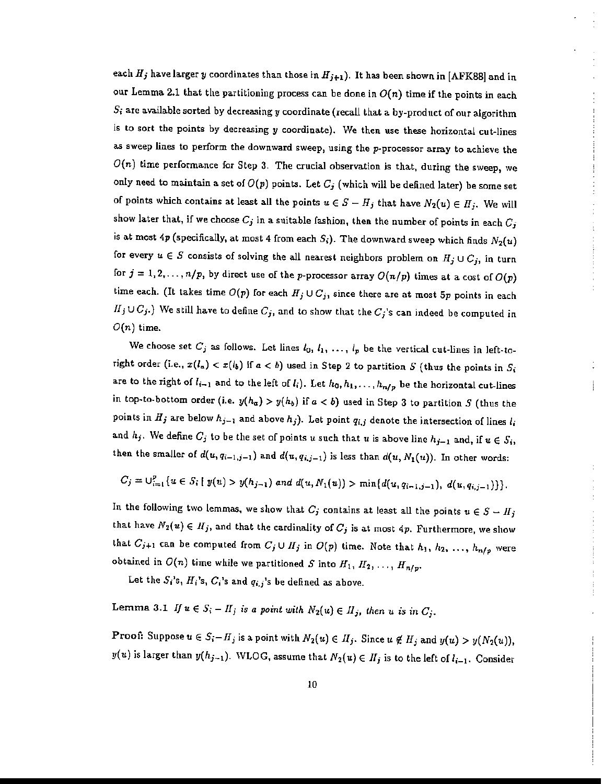each  $H_j$  have larger y coordinates than those in  $H_{j+1}$ ). It has been shown in [AFK88] and in our Lemma 2.1 that the partitioning process can be done in  $O(n)$  time if the points in each S<sub>i</sub> are available sorted by decreasing y coordinate (recall that a by-product of our algorithm is to sort the points by decreasing *y* coordinate). We then use these horizontal cut-lines as sweep lines to perform the downward sweep. using the p-processor array to achieve the  $O(n)$  time performance for Step 3. The crucial observation is that, during the sweep, we only need to maintain a set of  $O(p)$  points. Let  $C_j$  (which will be defined later) be some set of points which contains at least all the points  $u \in S - H_j$  that have  $N_2(u) \in H_j$ . We will show later that, if we choose  $C_j$  in a suitable fashion, then the number of points in each  $C_j$ is at most 4p (specifically, at most 4 from each  $S_i$ ). The downward sweep which finds  $N_2(u)$ for every  $u \in S$  consists of solving the all nearest neighbors problem on  $H_j \cup C_j$ , in turn for  $j = 1, 2, ..., n/p$ , by direct use of the p-processor array  $O(n/p)$  times at a cost of  $O(p)$ time each. (It takes time  $O(p)$  for each  $H_j \cup C_j$ , since there are at most  $5p$  points in each  $I\!I_j \cup C_j$ .) We still have to define  $C_j$ , and to show that the  $C_j$ 's can indeed be computed in  $O(n)$  time.

We choose set  $C_j$  as follows. Let lines  $l_0, l_1, \ldots, l_p$  be the vertical cut-lines in left-toright order (i.e.,  $x(l_a) < x(l_b)$  if  $a < b$ ) used in Step 2 to partition S (thus the points in  $S_i$ are to the right of  $l_{i-1}$  and to the left of  $l_i$ ). Let  $h_0, h_1, \ldots, h_{n/p}$  be the horizontal cut-lines in top-to-bottom order (i.e.  $y(h_a) > y(h_b)$  if  $a < b$ ) used in Step 3 to partition *S* (thus the points in  $H_j$  are below  $h_{j-1}$  and above  $h_j$ ). Let point  $q_{i,j}$  denote the intersection of lines  $l_i$ and  $h_j$ . We define  $C_j$  to be the set of points u such that u is above line  $h_{j-1}$  and, if  $u \in S_i$ , then the smaller of  $d(u, q_{i-1,j-1})$  and  $d(u, q_{i,j-1})$  is less than  $d(u, N_1(u))$ . In other words:

$$
C_j = \bigcup_{i=1}^p \{u \in S_i \mid y(u) > y(h_{j-1}) \text{ and } d(u, N_1(u)) > \min\{d(u, q_{i-1,j-1}), d(u, q_{i,j-1})\}\}.
$$

In the following two lemmas, we show that  $C_j$  contains at least all the points  $u \in S - H_j$ that have  $N_2(u) \in H_j$ , and that the cardinality of  $C_j$  is at most  $4p$ . Furthermore, we show that  $C_{j+1}$  can be computed from  $C_j \cup H_j$  in  $O(p)$  time. Note that  $h_1, h_2, \ldots, h_{n/p}$  were obtained in  $O(n)$  time while we partitioned  $S$  into  $H_1,\,H_2,\,\ldots,\,H_{n/p}.$ 

Let the  $S_i$ 's,  $H_i$ 's,  $C_i$ 's and  $q_{i,j}$ 's be defined as above.

Lemma 3.1 *If*  $u \in S_i - H_j$  *is a point with*  $N_2(u) \in H_j$ , then *u is in*  $C_j$ .

**Proof:** Suppose  $u \in S_i-H_j$  is a point with  $N_2(u) \in H_j$ . Since  $u \notin H_j$  and  $y(u) > y(N_2(u))$ ,  $y(u)$  is larger than  $y(h_{j-1})$ . WLOG, assume that  $N_2(u) \in H_j$  is to the left of  $l_{i-1}$ . Consider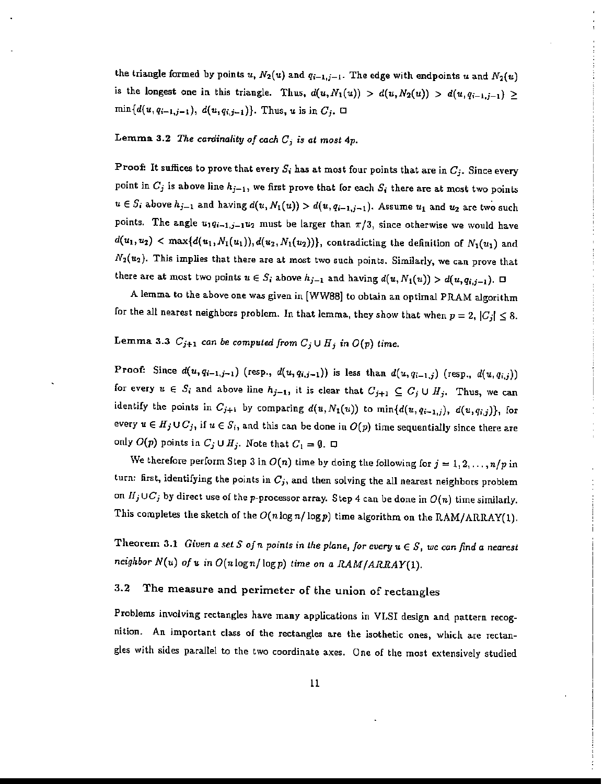the triangle formed by points  $u$ ,  $N_2(u)$  and  $q_{i-1,j-1}$ . The edge with endpoints  $u$  and  $N_2(u)$ is the longest one in this triangle. Thus,  $d(u, N_1(u)) > d(u, N_2(u)) > d(u, q_{i-1,j-1}) \ge$  $min{d(u, q_{i-1,j-1}), d(u, q_{i,j-1})}.$  Thus, *u* is in  $C_j$ .  $\Box$ 

Lemma 3.2 *The cardinality of each Gi* is *at most* 4p.

Proof: It suffices to prove that every  $S_i$  has at most four points that are in  $C_j$ . Since every point in  $C_j$  is above line  $h_{j-1}$ , we first prove that for each  $S_i$  there are at most two points  $u \in S_i$  above  $h_{j-1}$  and having  $d(u, N_1(u)) > d(u, q_{i-1,j-1})$ . Assume  $u_1$  and  $u_2$  are two such points. The angle  $u_1q_{i-1,j-1}u_2$  must be larger than  $\pi/3$ , since otherwise we would have  $d(u_1, u_2)$  < max $\{d(u_1, N_1(u_1)), d(u_2, N_1(u_2))\}$ , contradicting the definition of  $N_1(u_1)$  and  $N_2(u_2)$ . This implies that there are at most two such points. Similarly, we can prove that there are at most two points  $u \in S_i$  above  $h_{j-1}$  and having  $d(u, N_1(u)) > d(u, q_{i,j-1})$ .  $\Box$ 

A lemma to the above one was given in [WW88] to obtain an optimal PRAM algorithm for the all nearest neighbors problem. In that lemma, they show that when  $p = 2$ ,  $|C_j| \leq 8$ .

# Lemma 3.3  $C_{j+1}$  can be computed from  $C_j \cup H_j$  in  $O(p)$  time.

Proof: Since  $d(u, q_{i-1, j-1})$  (resp.,  $d(u, q_{i, j-1})$ ) is less than  $d(u, q_{i-1, j})$  (resp.,  $d(u, q_{i, j})$ ) for every  $u \in S_i$  and above line  $h_{j-1}$ , it is clear that  $C_{j+1} \subseteq C_j \cup H_j$ . Thus, we can identify the points in  $C_{j+1}$  by comparing  $d(u, N_1(u))$  to  $\min\{d(u, q_{i-1,j}), d(u, q_{i,j})\}$ , for every  $u \in H_j \cup C_j$ , if  $u \in S_i$ , and this can be done in  $O(p)$  time sequentially since there are only  $O(p)$  points in  $C_j \cup H_j$ . Note that  $C_1 = \emptyset$ .  $\Box$ 

We therefore perform Step 3 in  $O(n)$  time by doing the following for  $j = 1, 2, ..., n/p$  in turn: first, identifying the points in  $C_j$ , and then solving the all nearest neighbors problem on  $H_j\cup C_j$  by direct use of the p-processor array. Step 4 can be done in  $O(n)$  time similarly. This completes the sketch of the  $O(n\log n/\log p)$  time algorithm on the *RAM/ARRAY(1)*.

Theorem 3.1 *Given a set* S of *n* points in the plane, for every  $u \in S$ , we can find a nearest *neighbor N(u) olu* in O(nlogn/ logp) *time on* a *RAM/ARRAY(!).*

# 3.2 The measure and perimeter of the union of rectangles

Problems involving rectangles have many applications in VLSI design and pattern recognition. An important class of the rectangles are the isothetic ones, which are rectangles with sides parallel to the two coordinate axes. One of the most extensively studied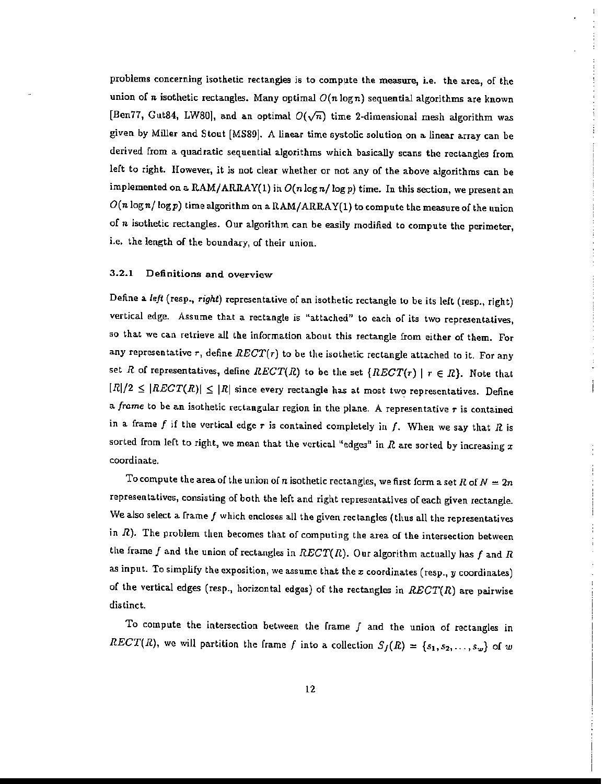problems concerning isothetic rectangles is to compute the measure, i.e. the area, of the union of n isothetic rectangles. Many optimal  $O(n \log n)$  sequential algorithms are known [Ben77, Gut84, LW80], and an optimal  $O(\sqrt{n})$  time 2-dimensional mesh algorithm was given by Miller and Stout [MS89]. A linear time systolic solution on a linear array can be derived from a quadratic sequential algorithms which basically scans the rectangles from left to right. However, it is not clear whether or not any of the above algorithms can be implemented on a RAM/ARRAY(1) in  $O(n\log n/\log p)$  time. In this section, we present an  $O(n \log n / \log p)$  time algorithm on a  $\text{RAM}/\text{ARRAY}(1)$  to compute the measure of the union of *n* isothetic rectangles. Our algorithm can be easily modified to compute the perimeter, i.e. the length of the boundary, of their union.

#### 3.2.1 Definitions and overview

Define a *left* (resp., *right)* representative of an isothetic rectangle to be its left (resp., right) vertical edge. Assume that a rectangle is "attached" to each of its two representatives, so that we can retrieve all the information about this rectangle from either of them. For any representative r, define  $RECT(r)$  to be the isothetic rectangle attached to it. For any set R of representatives, define RECT(R) to be the set  $\{RECT(r) | r \in R\}$ . Note that  $|R|/2 \leq |RECT(R)| \leq |R|$  since every rectangle has at most two representatives. Define a *frame* to be an isothetic rectangular region in the plane. A representative r is contained in a frame f if the vertical edge  $r$  is contained completely in f. When we say that R is sorted from left to right, we mean that the vertical "edges" in *R* are sorted by increasing *x* coordinate.

To compute the area of the union of n isothetic rectangles, we first form a set R of  $N=2n$ representatives, consisting of both the left and right representatives of each given rectangle. We also select a frame  $f$  which encloses all the given rectangles (thus all the representatives in  $R$ ). The problem then becomes that of computing the area of the intersection between the frame f and the union of rectangles in  $RECT(R)$ . Our algorithm actually has f and R as input. To simplify the exposition, we assume that the  $x$  coordinates (resp., y coordinates) of the vertical edges (resp., horizontal edges) of the rectangles in  $RECT(R)$  are pairwise distinct.

To compute the intersection between the frame  $f$  and the union of rectangles in  $RECT(R)$ , we will partition the frame f into a collection  $S_f(R) = \{s_1, s_2, \ldots, s_w\}$  of w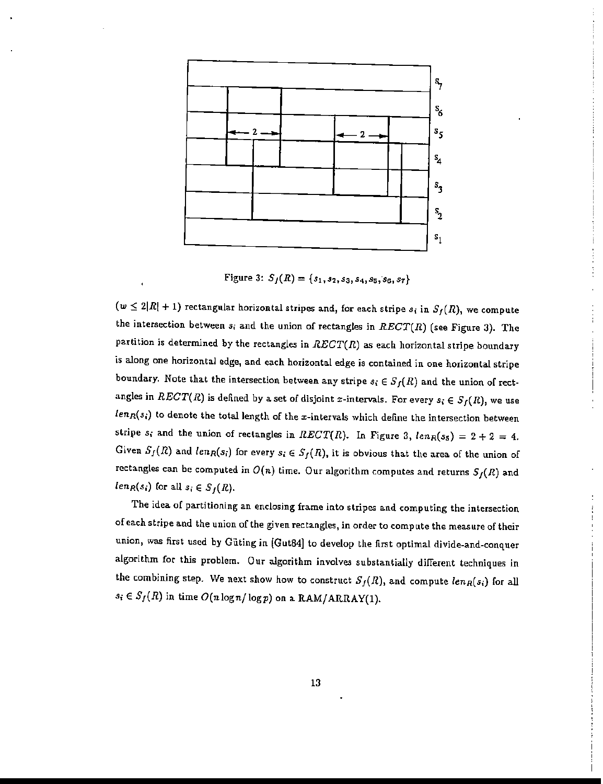

Figure 3:  $S_f(R) = \{s_1, s_2, s_3, s_4, s_5, s_6, s_7\}$ 

 $(w \leq 2|R| + 1)$  rectangular horizontal stripes and, for each stripe  $s_i$  in  $S_f(R)$ , we compute the intersection between  $s_i$  and the union of rectangles in  $RECT(R)$  (see Figure 3). The partition is determined by the rectangles in  $RECT(R)$  as each horizontal stripe boundary is along one horizontal edge, and each horizontal edge is contained in one horizontal stripe boundary. Note that the intersection between any stripe  $s_i \in S_f(R)$  and the union of rectangles in  $RECT(R)$  is defined by a set of disjoint x-intervals. For every  $s_i \in S_f(R)$ , we use  $len_R(s_i)$  to denote the total length of the x-intervals which define the intersection between stripe  $s_i$  and the union of rectangles in RECT(R). In Figure 3,  $len_R(s_5) = 2 + 2 = 4$ . Given  $S_f(R)$  and  $len_R(s_i)$  for every  $s_i \in S_f(R)$ , it is obvious that the area of the union of rectangles can be computed in  $O(n)$  time. Our algorithm computes and returns  $S_f(R)$  and  $len_R(s_i)$  for all  $s_i \in S_f(R)$ .

The idea of partitioning an enclosing frame into stripes and computing the intersection of each stripe and the union of the given rectangles, in order to compute the measure of their union, was first used by Giiting in [Gut84] to develop the flrst optimal divide-and-conquer algorithm for this problem. Our algorithm involves substantially different techniques in the combining step. We next show how to construct  $S_f(R)$ , and compute  $len_R(s_i)$  for all  $s_i \in S_f(R)$  in time  $O(n \log n / \log p)$  on a RAM/ARRAY(1).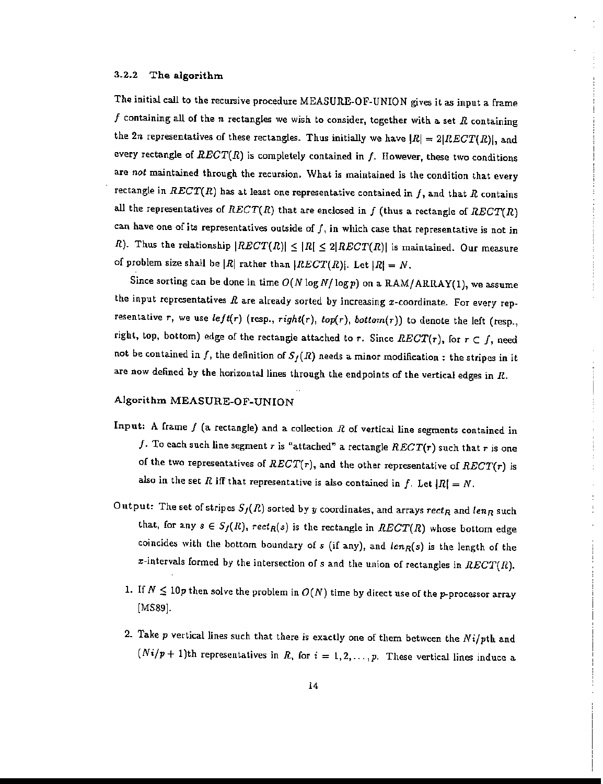#### 3.2.2 The algorithm

The initial call to the recursive procedure MEASURE-OF-UNION gives it as input a frame f containing all of the n rectangles we wish to consider, together with a set  $R$  containing the 2n representatives of these rectangles. Thus initially we have  $|R| = 2|RECT(R)|$ , and every rectangle of  $RECT(R)$  is completely contained in f. However, these two conditions are *not* maintained through the recursion. What is maintained is the condition that every rectangle in  $RECT(R)$  has at least one representative contained in f, and that R contains all the representatives of  $RECT(R)$  that are enclosed in f (thus a rectangle of  $RECT(R)$ can have one of its representatives outside of  $f$ , in which case that representative is not in R). Thus the relationship  $|RECT(R)| \leq |R| \leq 2|RECT(R)|$  is maintained. Our measure of problem size shall be  $|R|$  rather than  $|RECT(R)|$ . Let  $|R| = N$ .

Since sorting can be done in time  $O(N \log N / \log p)$  on a RAM/ARRAY(1), we assume the input representatives  $R$  are already sorted by increasing  $x$ -coordinate. For every representative r, we use  $left(r)$  (resp.,  $right(r)$ ,  $top(r)$ ,  $botom(r)$ ) to denote the left (resp., right, top, bottom) edge of the rectangle attached to  $r$ . Since  $RECT(r)$ , for  $r \in f$ , need not be contained in f, the definition of  $S_f(R)$  needs a minor modification: the stripes in it are now defined by the horizontal lines through the endpoints of the vertical edges in *R.*

# Algorithm MEASURE-OF-UNION

- Input: A frame  $f$  (a rectangle) and a collection  $R$  of vertical line segments contained in f. To each such line segment r is "attached" a rectangle  $RECT(r)$  such that r is one of the two representatives of RECT(r), and the other representative of RECT(r) is also in the set R iff that representative is also contained in f. Let  $|R| = N$ .
- Output: The set of stripes  $S_f(R)$  sorted by y coordinates, and arrays  $rect_R$  and  $len_R$  such that, for any  $s \in S_f(R)$ ,  $rect_R(s)$  is the rectangle in  $RECT(R)$  whose bottom edge coincides with the bottom boundary of  $s$  (if any), and  $len_R(s)$  is the length of the  $x$ -intervals formed by the intersection of  $s$  and the union of rectangles in  $RECT(R)$ .
	- 1. If  $N \le 10p$  then solve the problem in  $O(N)$  time by direct use of the p-processor array [MS89].
	- 2. Take *p* vertical lines such that there is exactly one of them between the *Nilpth* and  $(Ni/p+1)$ th representatives in *R*, for  $i = 1, 2, ..., p$ . These vertical lines induce a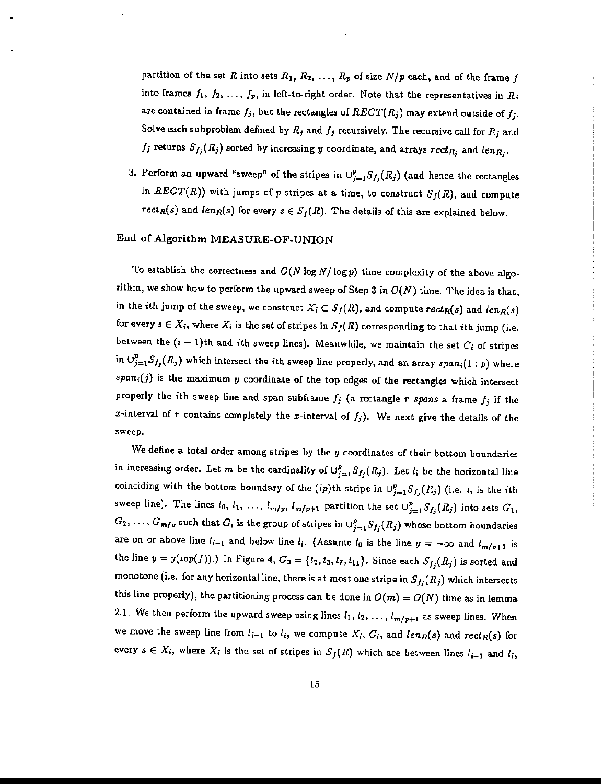partition of the set R into sets  $R_1, R_2, \ldots, R_p$  of size  $N/p$  each, and of the frame f into frames  $f_1, f_2, \ldots, f_p$ , in left-to-right order. Note that the representatives in  $R_j$ are contained in frame  $f_j$ , but the rectangles of  $RECT(R_j)$  may extend outside of  $f_j$ . Solve each subproblem defined by  $R_j$  and  $f_j$  recursively. The recursive call for  $R_j$  and  $f_j$  returns  $S_{f_j}(R_j)$  sorted by increasing y coordinate, and arrays  $rect_{R_j}$  and  $len_{R_j}$ .

3. Perform an upward "sweep" of the stripes in  $\cup_{j=1}^p S_{f_j}(R_j)$  (and hence the rectangles in RECT(R)) with jumps of p stripes at a time, to construct  $S_f(R)$ , and compute *rect<sub>R</sub>(s)* and *len<sub>R</sub>(s)* for every  $s \in S_f(R)$ . The details of this are explained below.

#### End of Algorithm MEASURE-OF-UNION

To establish the correctness and  $O(N \log N / \log p)$  time complexity of the above algorithm, we show how to perform the upward sweep of Step 3 in  $O(N)$  time. The idea is that, in the *i*th jump of the sweep, we construct  $X_i \subset S_f(R)$ , and compute  $rect_R(s)$  and  $len_R(s)$ for every  $s \in X_i$ , where  $X_i$  is the set of stripes in  $S_f(R)$  corresponding to that ith jump (i.e. between the  $(i - 1)$ th and *i*th sweep lines). Meanwhile, we maintain the set  $C_i$  of stripes in  $\cup_{j=1}^p S_{f_j}(R_j)$  which intersect the *i*th sweep line properly, and an array  $span_i(1:p)$  where  $span_i(j)$  is the maximum  $y$  coordinate of the top edges of the rectangles which intersect properly the ith sweep line and span subframe  $f_j$  (a rectangle  $r$  *spans* a frame  $f_j$  if the x-interval of r contains completely the x-interval of  $f_j$ ). We next give the details of the sweep.

We define a total order among stripes by the *y* coordinates of their bottom boundaries in increasing order. Let  $m$  be the cardinality of  $\cup_{j=1}^p S_{f_j}(R_j)$ . Let  $l_i$  be the horizontal line coinciding with the bottom boundary of the (ip)th stripe in  $\bigcup_{j=1}^p S_{f_j}(R_j)$  (i.e.  $l_i$  is the ith sweep line). The lines  $l_0$ ,  $l_1$ , ...,  $l_{m/p}$ ,  $l_{m/p+1}$  partition the set  $\bigcup_{j=1}^p S_{f_j}(R_j)$  into sets  $G_1$ ,  $G_2, \ldots, G_{m/p}$  such that  $G_i$  is the group of stripes in  $\cup_{j=1}^p S_{f_j}(R_j)$  whose bottom boundaries are on or above line  $l_{i-1}$  and below line  $l_i$ . (Assume  $l_0$  is the line  $y = -\infty$  and  $l_{m/p+1}$  is the line  $y = y(top(f))$ .) In Figure 4,  $G_3 = \{t_2, t_3, t_7, t_{11}\}$ . Since each  $S_{f_j}(R_j)$  is sorted and monotone (i.e. for any horizontal line, there is at most one stripe in  $S_{f_j}(R_j)$  which intersects this line properly), the partitioning process can be done in  $O(m) = O(N)$  time as in lemma 2.1. We then perform the upward sweep using lines  $l_1, l_2, \ldots, l_{m/p+1}$  as sweep lines. When we move the sweep line from  $l_{i-1}$  to  $l_i$ , we compute  $X_i$ ,  $C_i$ , and  $len_R(s)$  and  $rect_R(s)$  for every  $s \in X_i$ , where  $X_i$  is the set of stripes in  $S_f(R)$  which are between lines  $l_{i-1}$  and  $l_i$ ,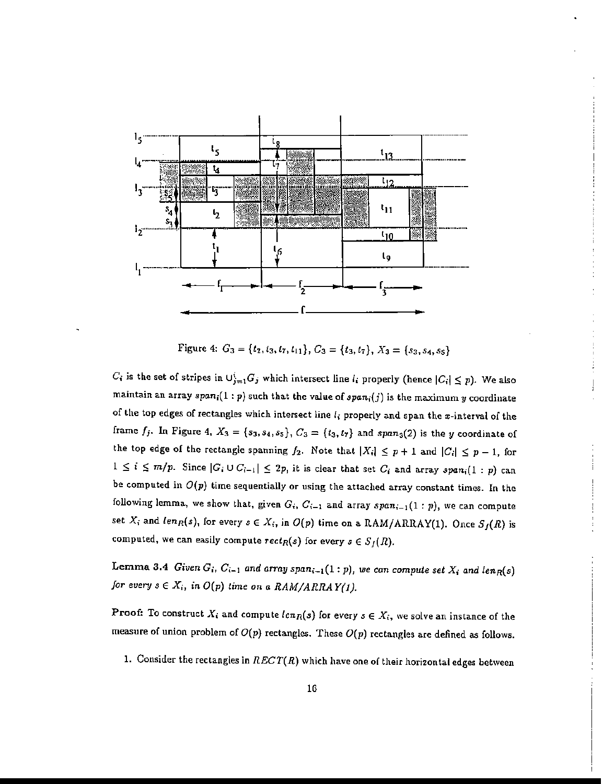

Figure 4:  $G_3 = \{t_2, t_3, t_7, t_{11}\}, G_3 = \{t_3, t_7\}, X_3 = \{s_3, s_4, s_5\}$ 

 $C_i$  is the set of stripes in  $\cup_{j=1}^i G_j$  which intersect line  $I_i$  properly (hence  $|C_i| \leq p$ ). We also maintain an array  $span_i(1:p)$  such that the value of  $span_i(j)$  is the maximum y coordinate of the top edges of rectangles which intersect line  $l_i$  properly and span the x-interval of the frame  $f_j$ . In Figure 4,  $X_3 = \{s_3, s_4, s_5\}$ ,  $C_3 = \{t_3, t_7\}$  and  $span_3(2)$  is the *y* coordinate of the top edge of the rectangle spanning  $f_2$ . Note that  $|X_i| \leq p+1$  and  $|C_i| \leq p-1$ , for  $1 \leq i \leq m/p$ . Since  $|G_i \cup G_{i-1}| \leq 2p$ , it is clear that set  $C_i$  and array  $span_i(1:p)$  can be computed in  $O(p)$  time sequentially or using the attached array constant times. In the following lemma, we show that, given  $G_i$ ,  $C_{i-1}$  and array  $span_{i-1}(1:p)$ , we can compute set  $X_i$  and  $len_R(s)$ , for every  $s \in X_i$ , in  $O(p)$  time on a RAM/ARRAY(1). Once  $S_f(R)$  is computed, we can easily compute  $rect_R(s)$  for every  $s \in S_f(R)$ .

Lemma 3.4 *Given*  $G_i$ ,  $C_{i-1}$  *and array span*<sub> $i-1$ </sub>(1: *p*), we *can compute set*  $X_i$  *and len<sub>R</sub>*(*s*) *for every*  $s \in X_i$ , in  $O(p)$  *time on a RAM/ARRAY(1).* 

Proof: To construct  $X_i$  and compute  $len_R(s)$  for every  $s \in X_i$ , we solve an instance of the measure of union problem of  $O(p)$  rectangles. These  $O(p)$  rectangles are defined as follows.

1. Consider the rectangles in  $RECT(R)$  which have one of their horizontal edges between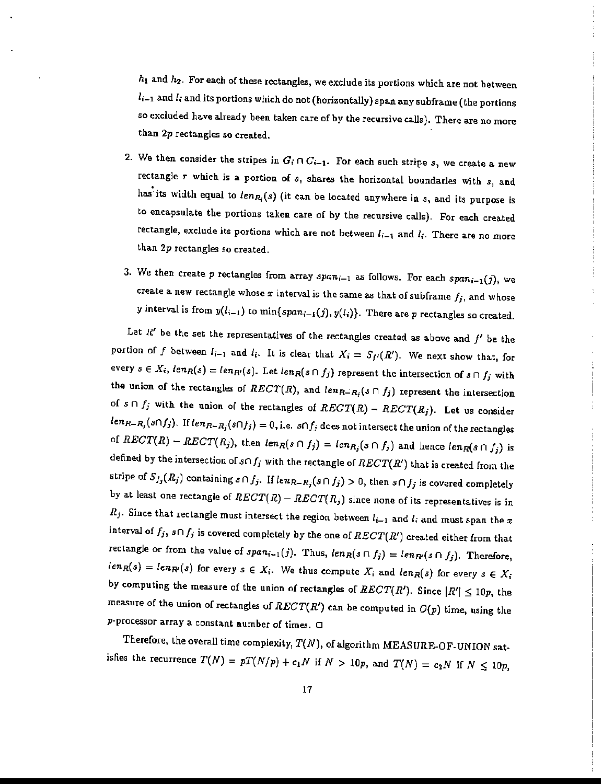hi and h*2 •* For each of these rectangles, we exclude its portions which are not between  $l_{i-1}$  and  $l_i$  and its portions which do not (horizontally) span any subframe (the portions so excluded have already been taken care of by the recursive calls). There are no more than 2p rectangles so created.

- 2. We then consider the stripes in  $G_i \cap C_{i-1}$ . For each such stripe *s*, we create a new rectangle *r* which is a portion of *05,* shares the horizontal boundaries with *05,* and has"its width equal to *lenR;(s)* (it can be located anywhere in *05,* and its purpose is to encapsulate the portions taken care of by the recursive calls). For each created rectangle, exclude its portions which are not between  $l_{i-1}$  and  $l_i$ . There are no more than 2p rectangles so created.
- 3. We then create *p* rectangles from array *spani\_I* as follows. For each *Spani\_I(j),* we create a new rectangle whose  $x$  interval is the same as that of subframe  $f_j$ , and whose *y* interval is from  $y(l_{i-1})$  to  $\min\{span_{i-1}(j), y(l_i)\}$ . There are p rectangles so created.

Let  $R'$  be the set the representatives of the rectangles created as above and  $f'$  be the portion of f between  $l_{i-1}$  and  $l_i$ . It is clear that  $X_i = S_{f'}(R')$ . We next show that, for every  $s \in X_i$ ,  $len_R(s) = len_{R'}(s)$ . Let  $len_R(s \cap f_j)$  represent the intersection of  $s \cap f_j$  with the union of the rectangles of  $RECT(R)$ , and  $len_{R-R_j}(s \cap f_j)$  represent the intersection of  $s \cap f_j$  with the union of the rectangles of  $RECT(R) - RECT(R_j)$ . Let us consider  $len_{R-R_j}(s \cap f_j)$ . If  $len_{R-R_j}(s \cap f_j) = 0$ , i.e.  $s \cap f_j$  does not intersect the union of the rectangles of  $RECT(R) - RECT(R_j)$ , then  $len_R(s \cap f_j) = len_{R_j}(s \cap f_j)$  and hence  $len_R(s \cap f_j)$  is defined by the intersection of  $s \cap f_j$  with the rectangle of  $RECT(R')$  that is created from the stripe of  $S_{f_j}(R_j)$  containing  $s \cap f_j$ . If  $len_{R-R_j}(s \cap f_j) > 0$ , then  $s \cap f_j$  is covered completely by at least one rectangle of  $RECT(R) - RECT(R_j)$  since none of its representatives is in *R<sub>j</sub>*. Since that rectangle must intersect the region between  $l_{i-1}$  and  $l_i$  and must span the  $x$ interval of  $f_j$ ,  $s \cap f_j$  is covered completely by the one of  $RECT(R')$  created either from that rectangle or from the value of  $span_{i-1}(j)$ . Thus,  $len_R(s \cap f_j) = len_{R'}(s \cap f_j)$ . Therefore,  $len_R(s) = len_{R'}(s)$  for every  $s \in X_i$ . We thus compute  $X_i$  and  $len_R(s)$  for every  $s \in X_i$ by computing the measure of the union of rectangles of  $RECT(R')$ . Since  $|R'| \leq 10p$ , the measure of the union of rectangles of  $RECT(R')$  can be computed in  $O(p)$  time, using the p-processor array a constant number of times.  $\Box$ 

Therefore, the overall time complexity,  $T(N)$ , of algorithm MEASURE-OF-UNION satisfies the recurrence  $T(N) = pT(N/p) + c_1N$  if  $N > 10p$ , and  $T(N) = c_2N$  if  $N \le 10p$ ,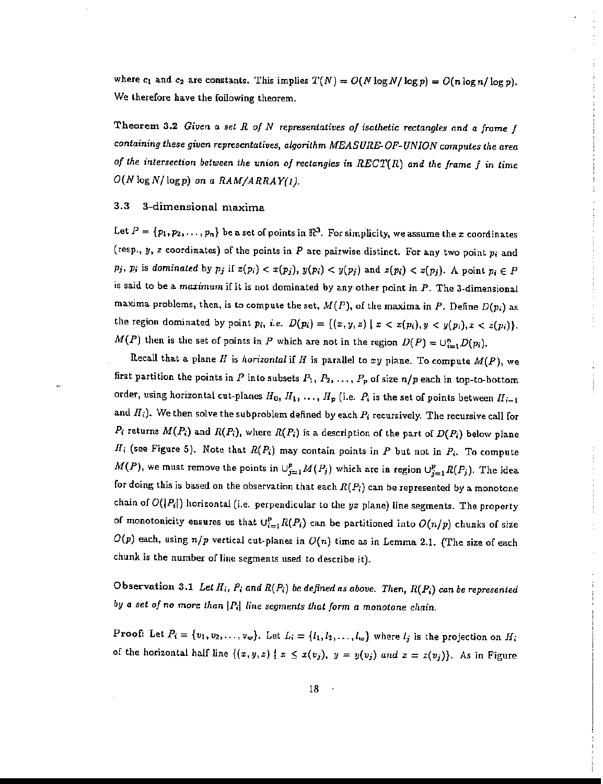where  $c_1$  and  $c_2$  are constants. This implies  $T(N) = O(N \log N / \log p) = O(n \log n / \log p)$ . We therefore have the following theorem.

Theorem 3.2 *Given a sel* R *of* N *representatives of isothetic rectangles and* a *frame* f *containing these given representatives, algorithm MEASURE-OF- UNION computes the area of the intersection between the union of rectangles in REGT(R) and the frame f* in time *O(NlogN/logp) on a RAM/ARRAY(I).*

#### 3.3 3-dimensional maxima

Let  $P = \{p_1, p_2, \ldots, p_n\}$  be a set of points in  $\mathbb{R}^3$ . For simplicity, we assume the *x* coordinates (resp.,  $y$ ,  $z$  coordinates) of the points in  $P$  are pairwise distinct. For any two point  $p_i$  and *Pj, Pi* is *dominated* by  $p_j$  if  $x(p_i) < x(p_j)$ ,  $y(p_i) < y(p_j)$  and  $z(p_i) < z(p_j)$ . A point  $p_i \in P$ is said to be a maximum if it is not dominated by any other point in  $P$ . The 3-dimensional maxima problems, then, is to compute the set, *M(P),* of the maxima in *P.* Define *D(p,)* as the region dominated by point  $p_i$ , *i.e.*  $D(p_i) = \{(x, y, z) | x < x(p_i), y < y(p_i), z < z(p_i)\}.$ *M(P)* then is the set of points in *P* which are not in the region  $D(P) = \bigcup_{i=1}^{n} D(p_i)$ .

Recall that a plane  $H$  is *horizontal* if  $H$  is parallel to  $xy$  plane. To compute  $M(P)$ , we first partition the points in *P* into subsets  $P_1, P_2, \ldots, P_p$  of size  $n/p$  each in top-to-bottom order, using horizontal cut-planes  $H_0, H_1, \ldots, H_p$  (i.e.  $P_i$  is the set of points between  $H_{i-1}$ and  $H_i$ ). We then solve the subproblem defined by each  $P_i$  recursively. The recursive call for *P<sub>i</sub>* returns  $M(P_i)$  and  $R(P_i)$ , where  $R(P_i)$  is a description of the part of  $D(P_i)$  below plane  $H_i$  (see Figure 5). Note that  $R(P_i)$  may contain points in  $P$  but not in  $P_i$ . To compute  $M(P)$ , we must remove the points in  $\bigcup_{j=1}^p M(P_j)$  which are in region  $\bigcup_{j=1}^p R(P_j)$ . The idea for doing this is based on the observation that each  $R(P_i)$  can be represented by a monotone chain of  $O(|P_i|)$  horizontal (i.e. perpendicular to the  $yz$  plane) line segments. The property of monotonicity ensures us that  $U_{i=1}^p R(P_i)$  can be partitioned into  $O(n/p)$  chunks of size  $O(p)$  each, using  $n/p$  vertical cut-planes in  $O(n)$  time as in Lemma 2.1. (The size of each chunk is the number of line segments used to describe it).

Observation 3.1 *Let* IIi, *Pi and R(P;) be defined as above. Then, R(Pi) can be represented by* a *set of no more than* IP;I *line segments that form a monotone* chain.

Proof: Let  $P_i = \{v_1, v_2, \ldots, v_w\}$ . Let  $L_i = \{l_1, l_2, \ldots, l_w\}$  where  $l_j$  is the projection on  $H_i$ of the horizontal half line  $\{(x,y,z) | x \leq x(v_j), y = y(v_j) \text{ and } z = z(v_j)\}.$  As in Figure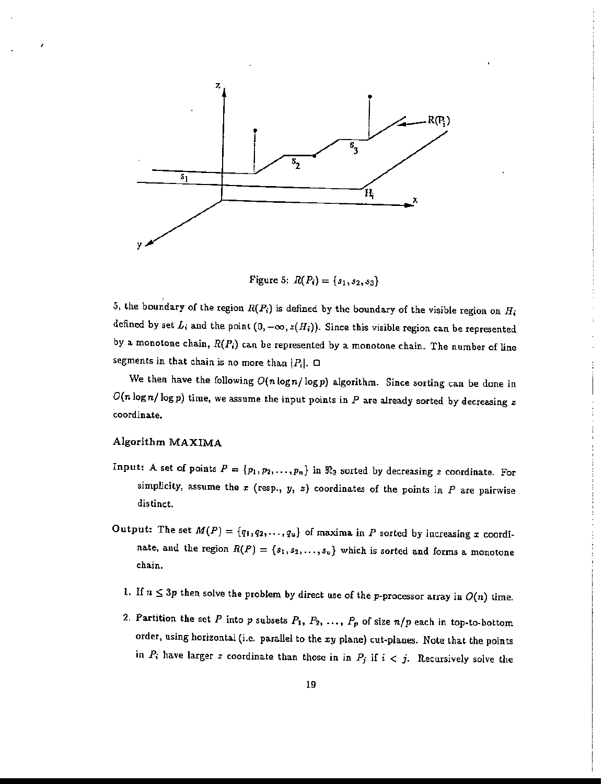

Figure 5:  $R(P_i) = \{s_1, s_2, s_3\}$ 

5, the boundary of the region  $R(P_i)$  is defined by the boundary of the visible region on  $H_i$ defined by set  $L_i$  and the point  $(0, -\infty, z(H_i))$ . Since this visible region can be represented by a monotone chain,  $R(P_i)$  can be represented by a monotone chain. The number of line segments in that chain is no more than  $|P_i|$ .  $\Box$ 

We then have the following  $O(n\log n/\log p)$  algorithm. Since sorting can be done in  $O(n \log n / \log p)$  time, we assume the input points in  $P$  are already sorted by decreasing z coordinate.

#### Algorithm MAXIMA

- Input: A set of points  $P = \{p_1, p_2, \ldots, p_n\}$  in  $\Re_3$  sorted by decreasing *z* coordinate. For simplicity, assume the  $x$  (resp.,  $y$ ,  $z$ ) coordinates of the points in  $P$  are pairwise distinct.
- Output: The set  $M(P) = \{q_1, q_2, \ldots, q_u\}$  of maxima in *P* sorted by increasing *x* coordinate, and the region  $R(P) = \{s_1, s_2, \ldots, s_v\}$  which is sorted and forms a monotone chain.
	- 1. If  $n \leq 3p$  then solve the problem by direct use of the p-processor array in  $O(n)$  time.
	- 2. Partition the set P into p subsets  $P_1$ ,  $P_2$ , ...,  $P_p$  of size  $n/p$  each in top-to-bottom order, using horizontal (i.e. parallel to the  $xy$  plane) cut-planes. Note that the points in  $P_i$  have larger z coordinate than those in in  $P_j$  if  $i < j$ . Recursively solve the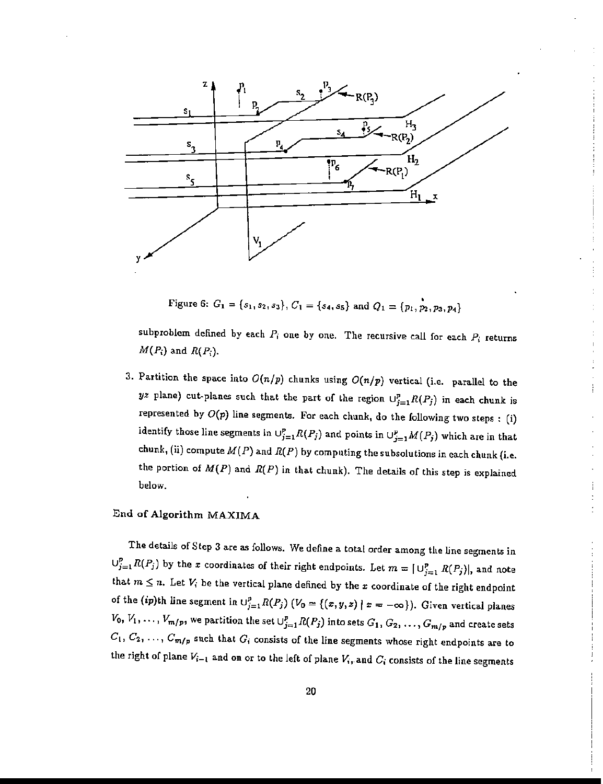

Figure 6:  $G_1 = \{s_1, s_2, s_3\}, C_1 = \{s_4, s_5\}$  and  $Q_1 = \{p_1, p_2, p_3, p_4\}$ 

subproblem defined by each  $P_i$  one by one. The recursive call for each  $P_i$  returns  $M(P_i)$  and  $R(P_i)$ .

3. Partition the space into  $O(n/p)$  chunks using  $O(n/p)$  vertical (i.e. parallel to the yz plane) cut-planes such that the part of the region  $\cup_{j=1}^p R(P_j)$  in each chunk is represented by  $O(p)$  line segments. For each chunk, do the following two steps: (i) identify those line segments in  $\bigcup_{j=1}^p R(P_j)$  and points in  $\bigcup_{j=1}^p M(P_j)$  which are in that chunk, (ii) compute  $M(P)$  and  $R(P)$  by computing the subsolutions in each chunk (i.e. the portion of  $M(P)$  and  $R(P)$  in that chunk). The details of this step is explained below.

# End of Algorithm MAXIMA

The details of Step 3 are *as* follows. We define a total order among the line segments in  $\cup_{j=1}^p R(P_j)$  by the *x* coordinates of their right endpoints. Let  $m = \lfloor \cup_{j=1}^p R(P_j) \rfloor$ , and note that  $m \leq n$ . Let  $V_i$  be the vertical plane defined by the *x* coordinate of the right endpoint of the (ip)th line segment in  $\bigcup_{j=1}^p R(P_j)$   $(V_0 = \{(x, y, z) | x = -\infty\})$ . Given vertical planes  $V_0, V_1, \ldots, V_{m/p}$ , we partition the set  $\cup_{j=1}^p R(P_j)$  into sets  $G_1, G_2, \ldots, G_{m/p}$  and create sets  $C_1, C_2, \ldots, C_{m/p}$  such that  $G_i$  consists of the line segments whose right endpoints are to the right of plane  $V_{i-1}$  and on or to the left of plane  $V_i$ , and  $C_i$  consists of the line segments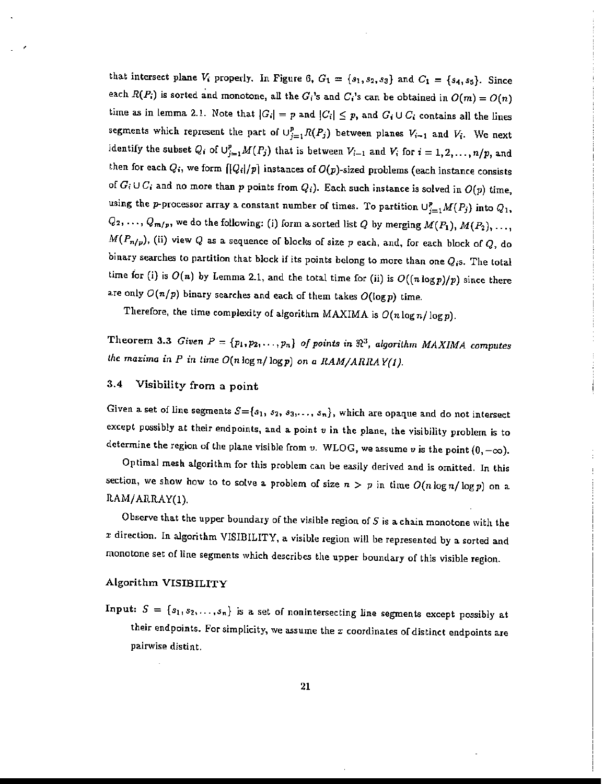that intersect plane  $V_i$  properly. In Figure 6,  $G_1 = \{s_1, s_2, s_3\}$  and  $C_1 = \{s_4, s_5\}$ . Since each  $R(P_i)$  is sorted and monotone, all the  $G_i$ 's and  $C_i$ 's can be obtained in  $O(m) = O(n)$ time as in lemma 2.1. Note that  $|G_i| = p$  and  $|G_i| \leq p$ , and  $G_i \cup C_i$  contains all the lines segments which represent the part of  $\cup_{j=1}^p R(P_j)$  between planes  $V_{i-1}$  and  $V_i$ . We next identify the subset  $Q_i$  of  $\cup_{j=1}^p M(P_j)$  that is between  $V_{i-1}$  and  $V_i$  for  $i = 1,2,\ldots,n/p$ , and then for each  $Q_i$ , we form  $\left[\left|Q_i\right/p\right]$  instances of  $O(p)$ -sized problems (each instance consists of  $G_i \cup C_i$  and no more than p points from  $Q_i$ ). Each such instance is solved in  $O(p)$  time, using the p-processor array a constant number of times. To partition  $\cup_{j=1}^p M(P_j)$  into  $Q_1$ ,  $Q_2, \ldots, Q_{m/p}$ , we do the following: (i) form a sorted list  $Q$  by merging  $M(P_1), M(P_2), \ldots$  $M(P_{n/p})$ , (ii) view  $Q$  as a sequence of blocks of size  $p$  each, and, for each block of  $Q$ , do binary searches to partition that block if its points belong to more than one  $Q_i$ s. The total time for (i) is  $O(n)$  by Lemma 2.1, and the total time for (ii) is  $O((n \log p)/p)$  since there are only  $O(n/p)$  binary searches and each of them takes  $O(\log p)$  time.

Therefore, the time complexity of algorithm MAXIMA is  $O(n \log n / \log p)$ .

Theorem 3.3 *Given*  $P = \{p_1, p_2, \ldots, p_n\}$  *of points in*  $\Re^3$ , *algorithm MAXIMA computes the maxima in*  $P$  *in time*  $O(n \log n / \log p)$  on *a*  $RAM/ARRAY(1)$ .

# 3.4 Visibility from a point

Given a set of line segments  $S = \{s_1, s_2, s_3, \ldots, s_n\}$ , which are opaque and do not intersect except possibly at their endpoints, and a point *v* in the plane, the visibility problem is to determine the region of the plane visible from *v*. WLOG, we assume *v* is the point  $(0, -\infty)$ .

Optimal mesh algorithm for this problem can be easily derived and is omitted. In this section, we show how to to solve a problem of size  $n > p$  in time  $O(n \log n / \log p)$  on a RAM/ARRAY(1).

Observe that the upper boundary of the visible region of  $S$  is a chain monotone with the *x* direction. In algorithm VISIBILITY, a visible region will be represented by a sorted and monotone set of line segments which describes the upper boundary of this visible region.

#### Algorithm VISIBILITY

Input:  $S = \{s_1, s_2, \ldots, s_n\}$  is a set of nonintersecting line segments except possibly at their endpoints. For simplicity, we assume the  $x$  coordinates of distinct endpoints are pairwise distint.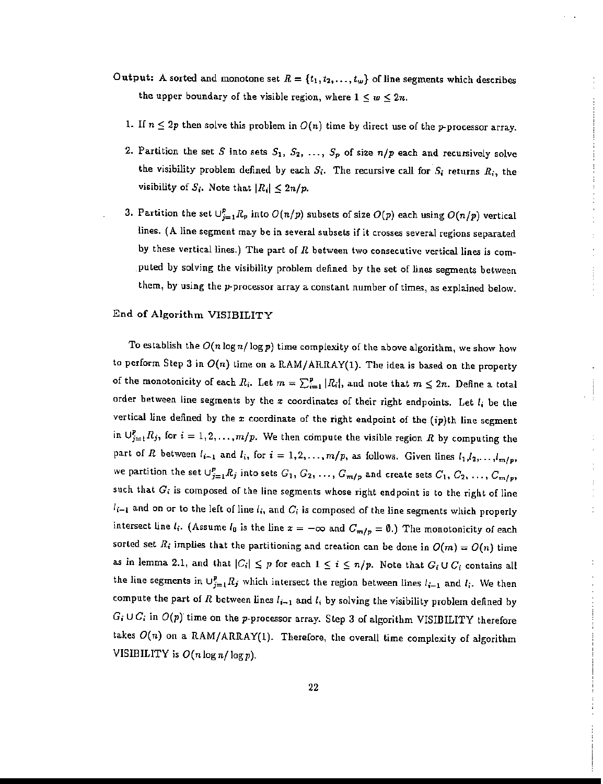- Output: A sorted and monotone set  $R = \{t_1, t_2, \ldots, t_w\}$  of line segments which describes the upper boundary of the visible region, where  $1 \leq w \leq 2n$ .
	- 1. If  $n \leq 2p$  then solve this problem in  $O(n)$  time by direct use of the p-processor array.
	- 2. Partition the set S into sets  $S_1, S_2, \ldots, S_p$  of size  $n/p$  each and recursively solve the visibility problem defined by each  $S_i$ . The recursive call for  $S_i$  returns  $R_i$ , the visibility of  $S_i$ . Note that  $|R_i| \leq 2n/p$ .
	- 3. Partition the set  $\bigcup_{j=1}^p R_p$  into  $O(n/p)$  subsets of size  $O(p)$  each using  $O(n/p)$  vertical lines. (A line segment may be in several subsets if it crosses several regions separated by these vertical lines.) The part of *R* between two consecutive vertical lines is computed by solving the visibility problem defined by the set of lines segments between them, by using the p-processor array a constant number of times, as explained below.

#### End of Algorithm VISIBILITY

To establish the  $O(n\log n/\log p)$  time complexity of the above algorithm, we show how to perform Step 3 in *O(n)* time on a *RAMI*ARRAY(1). The idea is based on the property of the monotonicity of each  $R_i$ . Let  $m = \sum_{i=1}^p |R_i|$ , and note that  $m \le 2n$ . Define a total order between line segments by the *x* coordinates of their right endpoints. Let  $l_i$  be the vertical line defined by the *x* coordinate of the right endpoint of the (ip)th line segment in  $\bigcup_{j=1}^{p} R_j$ , for  $i = 1, 2, ..., m/p$ . We then compute the visible region R by computing the part of *R* between  $l_{i-1}$  and  $l_i$ , for  $i = 1, 2, ..., m/p$ , as follows. Given lines  $l_1, l_2, ..., l_{m/p}$ , we partition the set  $\cup_{j=1}^{p} R_j$  into sets  $G_1, G_2, \ldots, G_{m/p}$  and create sets  $C_1, C_2, \ldots, C_{m/p}$ , such that  $G_i$  is composed of the line segments whose right endpoint is to the right of line  $l_{i-1}$  and on or to the left of line  $l_i$ , and  $C_i$  is composed of the line segments which properly intersect line  $l_i$ . (Assume  $l_0$  is the line  $x = -\infty$  and  $C_{m/p} = \emptyset$ .) The monotonicity of each sorted set  $R_i$  implies that the partitioning and creation can be done in  $O(m) = O(n)$  time as in lemma 2.1, and that  $|C_i| \leq p$  for each  $1 \leq i \leq n/p$ . Note that  $G_i \cup C_i$  contains all the line segments in  $\cup_{j=1}^p R_j$  which intersect the region between lines  $l_{i-1}$  and  $l_i$ . We then compute the part of R between lines  $l_{i-1}$  and  $l_i$  by solving the visibility problem defined by  $G_i \cup C_i$  in  $O(p)$  time on the p-processor array. Step 3 of algorithm VISIBILITY therefore takes  $O(n)$  on a RAM/ARRAY(1). Therefore, the overall time complexity of algorithm VISIBILITY is  $O(n \log n / \log p)$ .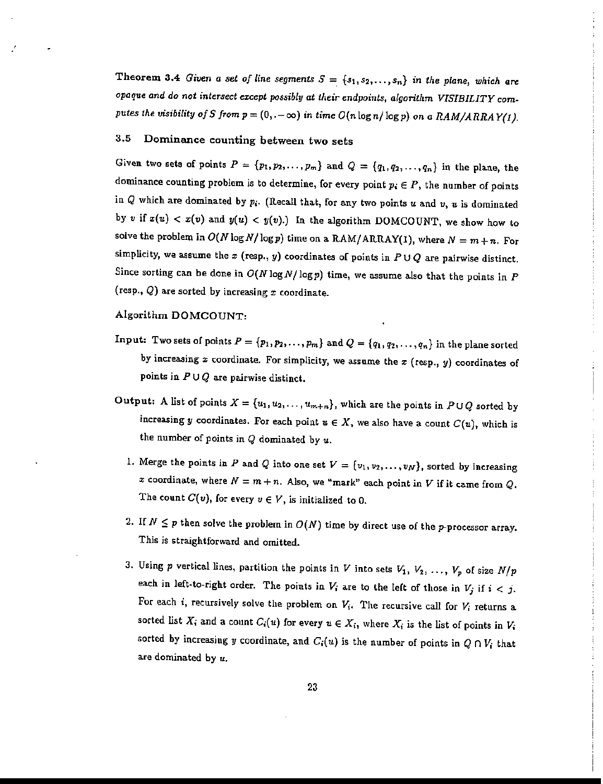Theorem 3.4 *Given a set of* line *segments*  $S = \{s_1, s_2, \ldots, s_n\}$  *in the plane, which are opaque and do not intersect except possibly at their endpoints, algorithm VISIBILITY computes* the *visibility* of *S* from  $p = (0, -\infty)$  in time  $O(n \log n / \log p)$  on a *RAM/ARRAY(1)*.

# 3.5 Dominance counting between two sets

Given two sets of points  $P = \{p_1, p_2, \ldots, p_m\}$  and  $Q = \{q_1, q_2, \ldots, q_n\}$  in the plane, the dominance counting problem is to determine, for every point  $p_i \in P$ , the number of points in  $Q$  which are dominated by  $p_i$ . (Recall that, for any two points  $u$  and  $v$ ,  $u$  is dominated by v if  $x(u) < x(v)$  and  $y(u) < y(v)$ .) In the algorithm DOMCOUNT, we show how to solve the problem in  $O(N \log N/\log p)$  time on a RAM/ARRAY(1), where  $N = m + n$ . For simplicity, we assume the  $x$  (resp.,  $y$ ) coordinates of points in  $P \cup Q$  are pairwise distinct. Since sorting can be done in  $O(N \log N / \log p)$  time, we assume also that the points in *P* (resp., *Q)* are sorted by increasing *x* coordinate.

#### Algorithm DOMCOUNT:

- Input: Two sets of points  $P = \{p_1, p_2, \ldots, p_m\}$  and  $Q = \{q_1, q_2, \ldots, q_n\}$  in the plane sorted by increasing *x* coordinate. For simplicity, we assume the *x* (resp., y) coordinates of points in  $P \cup Q$  are pairwise distinct.
- Output: A list of points  $X = \{u_1, u_2, \ldots, u_{m+n}\}\$ , which are the points in  $P \cup Q$  sorted by increasing y coordinates. For each point  $u \in X$ , we also have a count  $C(u)$ , which is the number of points in *Q* dominated by u.
	- 1. Merge the points in P and Q into one set  $V = \{v_1, v_2, \ldots, v_N\}$ , sorted by increasing *x* coordinate, where  $N = m + n$ . Also, we "mark" each point in V if it came from Q. The count  $C(v)$ , for every  $v \in V$ , is initialized to 0.
	- 2. If  $N \leq p$  then solve the problem in  $O(N)$  time by direct use of the p-processor array. This is straightforward and omitted.
	- 3. Using  $p$  vertical lines, partition the points in  $V$  into sets  $V_1, V_2, \ldots, V_p$  of size  $N/p$ each in left-to-right order. The points in  $V_i$  are to the left of those in  $V_j$  if  $i < j$ . For each *i*, recursively solve the problem on  $V_i$ . The recursive call for  $V_i$  returns a sorted list  $X_i$  and a count  $C_i(u)$  for every  $u \in X_i$ , where  $X_i$  is the list of points in  $V_i$ sorted by increasing y coordinate, and  $C_i(u)$  is the number of points in  $Q \cap V_i$  that are dominated by *u.*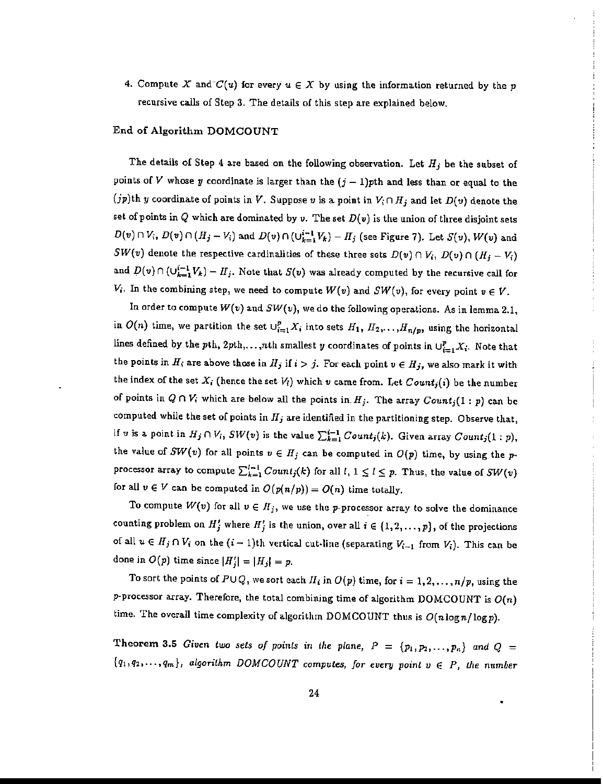4. Compute X and  $C(u)$  for every  $u \in X$  by using the information returned by the p recursive calls of Step 3. The details of this step are explained below.

#### End of Algorithm DOMCOUNT

The details of Step 4 are based on the following observation. Let *Hj* be the subset of points of V whose y coordinate is larger than the  $(j-1)$ pth and less than or equal to the (*jp*)th *y* coordinate of points in *V*. Suppose *v* is a point in  $V_i \cap H_j$  and let  $D(v)$  denote the set of points in  $Q$  which are dominated by  $v$ . The set  $D(v)$  is the union of three disjoint sets  $D(v) \cap V_i$ ,  $D(v) \cap (H_j - V_i)$  and  $D(v) \cap (\bigcup_{k=1}^{i-1} V_k) - H_j$  (see Figure 7). Let  $S(v)$ ,  $W(v)$  and *SW(v)* denote the respective cardinalities of these three sets  $D(v) \cap V_i$ ,  $D(v) \cap (H_j - V_i)$ and  $D(v) \cap (\bigcup_{k=1}^{i-1} V_k) - H_j$ . Note that  $S(v)$  was already computed by the recursive call for  $V_i$ . In the combining step, we need to compute  $W(v)$  and  $SW(v)$ , for every point  $v \in V$ .

In order to compute  $W(v)$  and  $SW(v)$ , we do the following operations. As in lemma 2.1, in  $O(n)$  time, we partition the set  $\bigcup_{i=1}^{p} X_i$  into sets  $H_1, H_2, \ldots, H_{n/p}$ , using the horizontal lines defined by the pth,  $2pth, \ldots, nth$  smallest y coordinates of points in  $\cup_{i=1}^{p} X_i$ . Note that the points in  $H_i$  are above those in  $H_j$  if  $i > j$ . For each point  $v \in H_j$ , we also mark it with the index of the set  $X_i$  (hence the set  $V_i$ ) which  $v$  came from. Let  $Count_i(i)$  be the number of points in  $Q \cap V_i$  which are below all the points in  $H_j$ . The array  $Count_j(1:p)$  can be computed while the set of points in *Hj* are identified in the partitioning step. Observe that, if *v* is a point in  $H_j \cap V_i$ ,  $SW(v)$  is the value  $\sum_{k=1}^{i-1} Count_j(k)$ . Given array  $Count_j(1:p)$ , the value of  $SW(v)$  for all points  $v \in H_j$  can be computed in  $O(p)$  time, by using the pprocessor array to compute  $\sum_{k=1}^{l-1} Count_j(k)$  for all *t*,  $1 \leq l \leq p$ . Thus, the value of  $SW(v)$ for all  $v \in V$  can be computed in  $O(p(n/p)) = O(n)$  time totally.

To compute  $W(v)$  for all  $v \in H_j$ , we use the p-processor array to solve the dominance counting problem on  $H'_{j}$  where  $H'_{j}$  is the union, over all  $i \in \{1, 2, ..., p\}$ , of the projections of all  $u \in H_j \cap V_i$  on the  $(i - 1)$ th vertical cut-line (separating  $V_{i-1}$  from  $V_i$ ). This can be done in  $O(p)$  time since  $|H'_j| = |H_j| = p$ .

To sort the points of  $P\cup Q$ , we sort each  $H_i$  in  $O(p)$  time, for  $i = 1, 2, ..., n/p$ , using the p-processor array. Therefore, the total combining time of algorithm DOMCOUNT is  $O(n)$ time. The overall time complexity of algorithm DOMCOUNT thus is *O(nlogn/logp).*

Theorem 3.5 Given *two sets of points* in the plane,  $P = \{p_1, p_2, \ldots, p_n\}$  and  $Q =$  ${q_1, q_2, \ldots, q_m}$ , *algorithm DOMCOUNT computes, for every point*  $v \in P$ , the *number*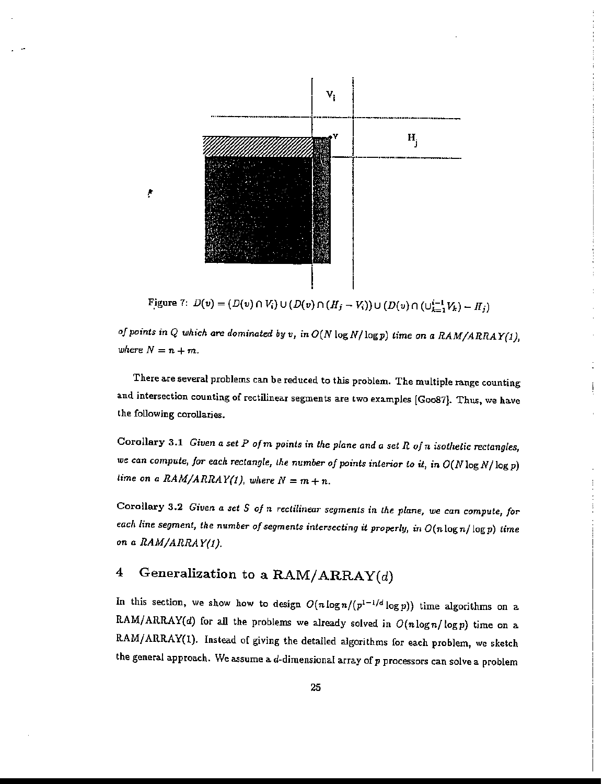

*of* points in  $Q$  which are dominated by  $v$ , in  $O(N \log N / \log p)$  time on a  $RAM/ARRAY(1)$ , *where*  $N = n + m$ .

There are several problems can be reduced to this problem. The multiple range counting and intersection counting of rectilinear segments are two examples [Goo87]. Thus, we have the following corollaries.

Corollary 3.1 *Given* a *set P olm points* in *the plane and a sel R ofn isothetic rectangles, we can compute, for each rectangle, the number of points interior to it, in*  $O(N \log N / \log p)$ *time* on *a*  $RAM/ARRAY(1)$ , where  $N = m + n$ .

Corollary 3.2 *Given* a *set* S *of* <sup>11</sup> *rectilinear segments* in *the plane, we can compute, for each line segment, the number ofsegments intersecting* it *properly,* in *O(n* log n/logp) time *on* a *RAM/ARRAY!J).*

# 4 Generalization to a  $\text{RAM}/\text{ARRAY}(d)$

In this section, we show how to design  $O(n \log n / (p^{1-1/d} \log p))$  time algorithms on a RAM/ARRAY(d) for all the problems we already solved in  $O(n \log n / \log p)$  time on a RAM/ARRAY(l). Instead of giving the detailed algorithms for each problem, we sketch the general approach. We assume a  $d$ -dimensional array of  $p$  processors can solve a problem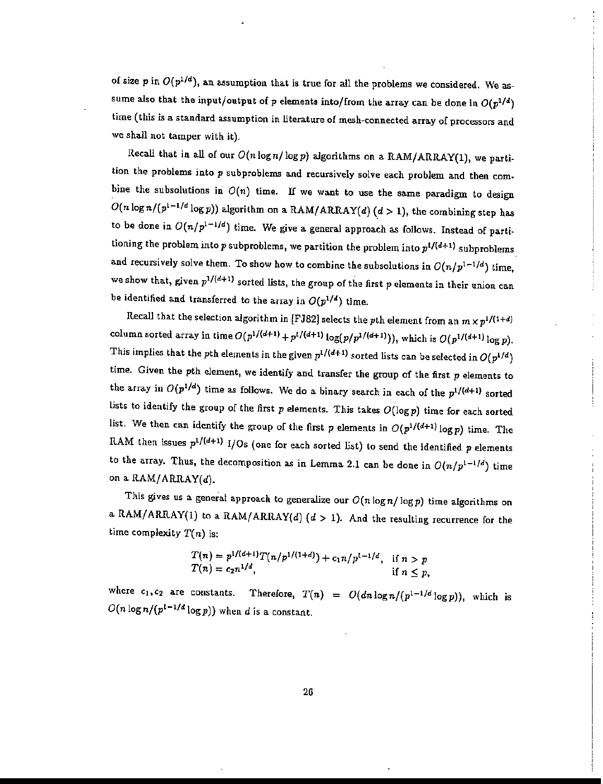of size  $p$  in  $O(p^{1/d})$ , an assumption that is true for all the problems we considered. We assume also that the input/output of p elements into/from the array can be done in  $O(p^{1/d})$ time (this is a. standard assumption in literature of mesh-connected array of processors and we shall not tamper with it).

Recall that in all of our  $O(n\log n/\log p)$  algorithms on a RAM/ARRAY(1), we partition the problems into  $p$  subproblems and recursively solve each problem and then combine the subsolutions in  $O(n)$  time. If we want to use the same paradigm to design  $O(n \log n/(p^{1-1/d} \log p))$  algorithm on a RAM/ARRAY(d)  $(d > 1)$ , the combining step has to be done in  $O(n/p^{1-1/d})$  time. We give a general approach as follows. Instead of partitioning the problem into p subproblems, we partition the problem into  $p^{1/(d+1)}$  subproblems and recursively solve them. To show how to combine the subsolutions in  $O(n/p^{1-1/d})$  time, we show that, given  $p^{1/(d+1)}$  sorted lists, the group of the first p elements in their union can be identified and transferred to the array in  $O(p^{1/d})$  time.

Recall that the selection algorithm in [FJ82] selects the pth element from an  $m \times p^{1/(1+d)}$ column sorted array in time  $O(p^{1/(d+1)}+p^{1/(d+1)}\log(p/p^{1/(d+1)}))$ , which is  $O(p^{1/(d+1)}\log p)$ . This implies that the pth elements in the given  $p^{1/(d+1)}$  sorted lists can be selected in  $O(p^{1/d})$ time. Given the pth element, we identify and transfer the group of the first  $p$  elements to the array in  $O(p^{1/d})$  time as follows. We do a binary search in each of the  $p^{1/(d+1)}$  sorted lists to identify the group of the first  $p$  elements. This takes  $O(\log p)$  time for each sorted list. We then can identify the group of the first p elements in  $O(p^{1/(d+1)}\log p)$  time. The RAM then issues  $p^{1/(d+1)}$  I/Os (one for each sorted list) to send the identified p elements to the array. Thus, the decomposition as in Lemma 2.1 can be done in  $O(n/p^{1-1/d})$  time on a  $\text{RAM}/\text{ARRAY}(d)$ .

This gives us a general approach to generalize our  $O(n\log n/\log p)$  time algorithms on a RAM/ARRAY(1) to a RAM/ARRAY(d)  $(d > 1)$ . And the resulting recurrence for the time complexity  $T(n)$  is:

$$
T(n) = p^{1/(d+1)}T(n/p^{1/(1+d)}) + c_1n/p^{1-1/d}, \text{ if } n > p
$$
  
\n
$$
T(n) = c_2n^{1/d}, \text{ if } n \leq p,
$$

where  $c_1, c_2$  are constants. Therefore,  $T(n) = O(dn \log n/(p^{1-1/d} \log p))$ , which is  $O(n \log n / (p^{1-1/d} \log p))$  when d is a constant.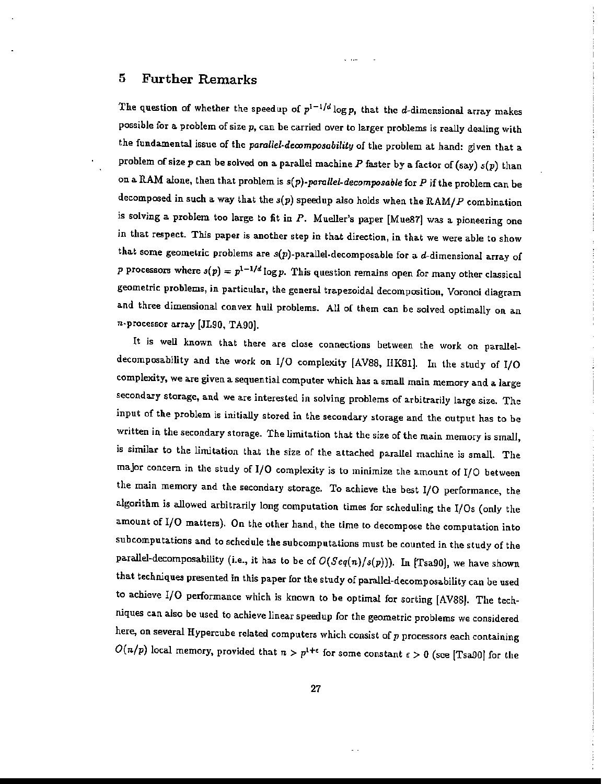# 5 Further Remarks

The question of whether the speedup of  $p^{1-1/d} \log p$ , that the d-dimensional array makes possible for a problem of size  $p$ , can be carried over to larger problems is really dealing with the fundamental issue of the *parallel-decomposability* of the problem at hand: given that a problem of size p can be solved on a parallel machine *P* faster by a factor of (say) *s(p)* than on a RAM alone, then that problem is *s(p)-parallel.decomposable* for *P* if the problem can be decomposed in such a. way that the *s(p)* speedup also holds when the 'RAMI*P* combination is solving a problem too large to fit in  $P$ . Mueller's paper [Mue87] was a pioneering one in that respect. This paper is another step in that direction, in that we were able to show that some geometric problems are  $s(p)$ -parallel-decomposable for a  $d$ -dimensional array of *p* processors where  $s(p) = p^{1-1/d} \log p$ . This question remains open for many other classical geometric problems, in particular, the general trapezoidal decomposition, Voronoi diagram and three dimensional convex hull problems. All of them can be solved optimally on an n-processor array [JL90, TA90].

It is well known that there are close connections between the work on paralleldecomposability and the work on I/O complexity [AVSS, IlKSl]. In the study of I/O complexity, we are given a sequential computer which has a small main memory and a large secondary storage, and we are interested in solving problems of arbitrarily large size. The input of the problem is initially stored in the secondary storage and the output has to be written in the secondary storage. The limitation that the size of the main memory is small, is similar to the limitation that the size of the attached parallel machine is small. The major concern in the study of I/O complexity is to minimize the amount of I/O between the main memory and the secondary storage. To achieve the best I/O performance, the algorithm is allowed arbitrarily long computation times for scheduling the I/Os (only the amount of I/O matters). On the other hand, the time to decompose the computation into subcomputations and to schedule the subcomputations must be counted in the study of the parallel-decomposability (i.e., it has to be of  $O(Seq(n)/s(p))$ ). In [Tsa90], we have shown that techniques presented in this paper for the study of parallel-decomposability can be used to achieve I/O performance which is known to be optimal for sorting [AVS8J. The techniques can also be used to achieve linear speedup for the geometric problems we considered here, on several Hypercube related computers which consist of  $p$  processors each containing  $O(n/p)$  local memory, provided that  $n > p^{1+\epsilon}$  for some constant  $\epsilon > 0$  (see [Tsa90] for the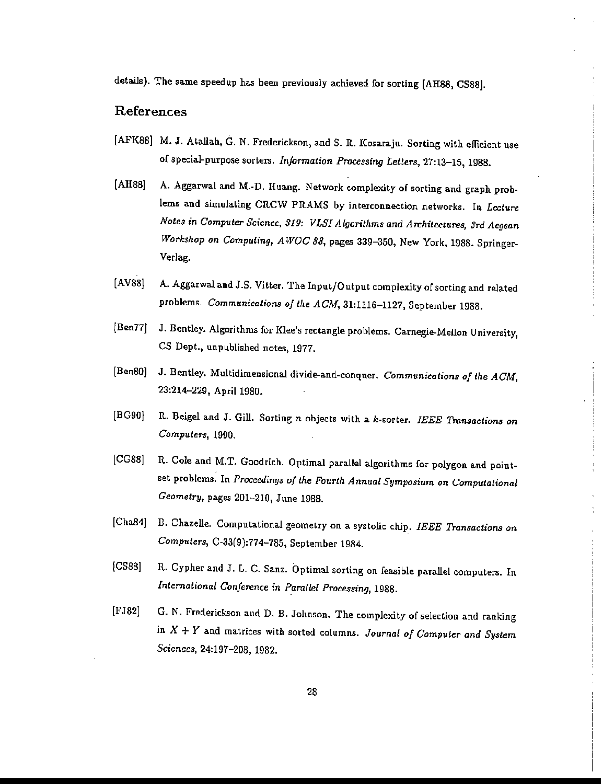details). The same speedup has been previously achieved for sorting [AH88, CS88].

### References

- [AFK88] M. J. Atallah, G. N. Frederickson, and S. R. Kosaraju. Sorting with efficient use of special-purpose sorters. *Information Processing Letters,* 27:13-15, 1988.
- [AH88] A. Aggarwal and M.·D. Huang. Network complexity of sorting and graph prob. lems and simulating CRCW PRAMS by interconnection networks. In *Lecture Notes* in *Computer Science, 319: VLSI Algorithms and Architectures, 3rd Aegean Workshop* on *Computing, AWOC* 88, pages 339-350, New York, 1988. Springer-Verlag.
- (AV88} A. Aggarwal and J.S. Vitter. The Input/Output complexity ofsorting and related problems. *Communications of the ACM*, 31:1116-1127, September 1988.
- (Ben77j J. Bentley. Algorithms for Klee's rectangle problems. Carnegie-Mellon University, CS Dept., unpublished notes, 1977.
- [Ben801 J. Bentley. Multidimensional divide-and-conquer. *Communications of the ACM,* 23:214-229, April 1980.
- [BG90} It. Beigel and J. Gill. Sorting n objects with a k·sorter. *IEEE Transactions on Computers, 1990.*
- [CGS8] R. Cole and M.T. Goodrich. Optimal parallel algorithms for polygon and pointset problems. In *Proceedings of the Fourth Annual Symposium* on *Computational Geometry,* pages 201-210, June *1988.*
- [ChaB4] B. Chazelle. Computational geometry on a systolic chip. *IEEE Transactions on Computers,* C-33(9):774-785, September 1984.
- [CS88] R. Cypher and J. L. C. Sanz. Optimal sorting on feasible parallel computers. In *International Conference* in *Parallel Processing, 1988.*
- [FJ82] G. N. Frederickson and D. B. Johnson. The complexity of selection and ranking in X + *Y* and matrices with sorted columns. *Journal of Computer and System Sciences,* 24:197-208, 1982.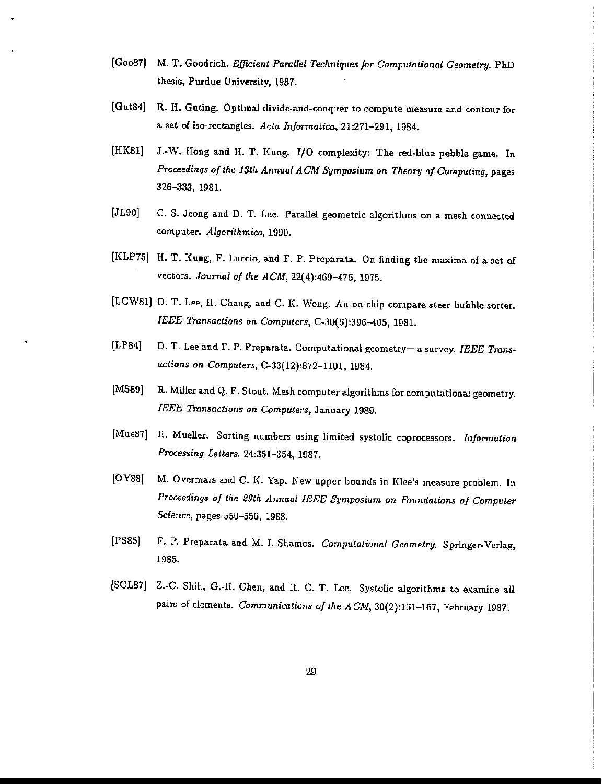- [Go087) M. T. Goodrich. *Efficient Parallel Techniques for Computational Geometry.* PhD thesis, Purdue University, 1987.
- [Gut84] R. H. Guting. Optimal divide-and-conquer to compute measure and contour for a set of iso-rectangles. *Acta Informatica,* 21:271-291, 1984.
- [HK81) J.-W. Hong and H. T. Kung. I/O complexity: The red-blue pebble game. In *Proceedings of the 13th Annual ACM* Symposium on *Theory of Computing,* pages 326-333, 1981.
- [JL90] C. S. Jeong and D. T. Lee. Parallel geometric algorithms on a mesh connected computer. *Algorithmica, 1990.*
- [KLP75] H. T. Kung, F. Luccio, and F. P. Preparata. On finding the maxima of a set of vectors. *Journal of the ACM,* 22(4):469-476, 1975.
- [LCW81) D. T. Lee, II. Chang, and C. K. Wong. An on-chip compare steer bubble sorter. *IEEE Transactions* on *Computers,* C-30(6):396-405, 1981.
- [LP84] D. T. Lee and F. P. Preparata. Computational geometry-a survey. *IEEE Trans. actions* on *Computers,* C-33(12):872-1101, 1984.
- [MS89] R. Miller and Q. F. Stout. Mesh computer algorithms for computational geometry. *IEEE Transactions* on *Computers,* January 1989.
- [Mue87] H. Mueller. Sorting numbers using limited systolic coprocessors. Information *Processing Letters*, 24:351-354, 1987.
- [OY88] M. Overmars and C. K. Yap. New upper bounds in Klee's measure problem. In *Proceedings of the 29th Jlnnual IEEE Symposium on Foundations of Computer Science,* pages 550-55G, 1988.
- [PS85j F. P. Preparata and M. I. Shamos. *Computational Geometry.* Springer-Verlag, 1985.
- [SCL87] Z.-C. Shih, G.-II. Chen, and R. C. T. Lee. Systolic algorithms to examine all pairs of elements. *Communications of the ACM*, 30(2):161-167, February 1987.